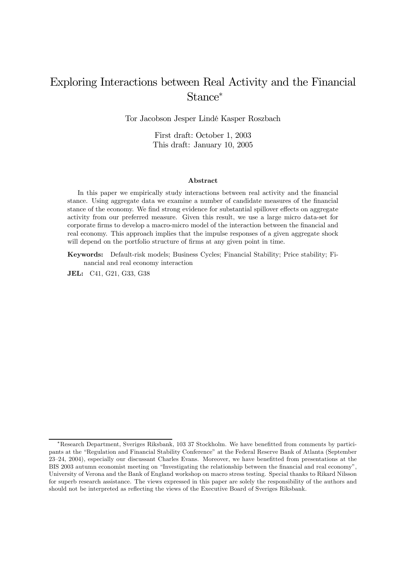## Exploring Interactions between Real Activity and the Financial Stance<sup>∗</sup>

Tor Jacobson Jesper Lindé Kasper Roszbach

First draft: October 1, 2003 This draft: January 10, 2005

#### Abstract

In this paper we empirically study interactions between real activity and the financial stance. Using aggregate data we examine a number of candidate measures of the financial stance of the economy. We find strong evidence for substantial spillover effects on aggregate activity from our preferred measure. Given this result, we use a large micro data-set for corporate firms to develop a macro-micro model of the interaction between the financial and real economy. This approach implies that the impulse responses of a given aggregate shock will depend on the portfolio structure of firms at any given point in time.

Keywords: Default-risk models; Business Cycles; Financial Stability; Price stability; Financial and real economy interaction

JEL: C41, G21, G33, G38

<sup>∗</sup>Research Department, Sveriges Riksbank, 103 37 Stockholm. We have benefitted from comments by participants at the "Regulation and Financial Stability Conference" at the Federal Reserve Bank of Atlanta (September 23—24, 2004), especially our discussant Charles Evans. Moreover, we have benefitted from presentations at the BIS 2003 autumn economist meeting on "Investigating the relationship between the financial and real economy", University of Verona and the Bank of England workshop on macro stress testing. Special thanks to Rikard Nilsson for superb research assistance. The views expressed in this paper are solely the responsibility of the authors and should not be interpreted as reflecting the views of the Executive Board of Sveriges Riksbank.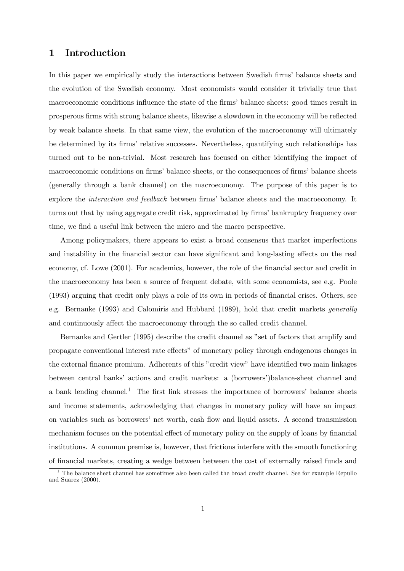### 1 Introduction

In this paper we empirically study the interactions between Swedish firms' balance sheets and the evolution of the Swedish economy. Most economists would consider it trivially true that macroeconomic conditions influence the state of the firms' balance sheets: good times result in prosperous firms with strong balance sheets, likewise a slowdown in the economy will be reflected by weak balance sheets. In that same view, the evolution of the macroeconomy will ultimately be determined by its firms' relative successes. Nevertheless, quantifying such relationships has turned out to be non-trivial. Most research has focused on either identifying the impact of macroeconomic conditions on firms' balance sheets, or the consequences of firms' balance sheets (generally through a bank channel) on the macroeconomy. The purpose of this paper is to explore the interaction and feedback between firms' balance sheets and the macroeconomy. It turns out that by using aggregate credit risk, approximated by firms' bankruptcy frequency over time, we find a useful link between the micro and the macro perspective.

Among policymakers, there appears to exist a broad consensus that market imperfections and instability in the financial sector can have significant and long-lasting effects on the real economy, cf. Lowe (2001). For academics, however, the role of the financial sector and credit in the macroeconomy has been a source of frequent debate, with some economists, see e.g. Poole (1993) arguing that credit only plays a role of its own in periods of financial crises. Others, see e.g. Bernanke (1993) and Calomiris and Hubbard (1989), hold that credit markets generally and continuously affect the macroeconomy through the so called credit channel.

Bernanke and Gertler (1995) describe the credit channel as "set of factors that amplify and propagate conventional interest rate effects" of monetary policy through endogenous changes in the external finance premium. Adherents of this "credit view" have identified two main linkages between central banks' actions and credit markets: a (borrowers')balance-sheet channel and a bank lending channel.<sup>1</sup> The first link stresses the importance of borrowers' balance sheets and income statements, acknowledging that changes in monetary policy will have an impact on variables such as borrowers' net worth, cash flow and liquid assets. A second transmission mechanism focuses on the potential effect of monetary policy on the supply of loans by financial institutions. A common premise is, however, that frictions interfere with the smooth functioning of financial markets, creating a wedge between between the cost of externally raised funds and

<sup>&</sup>lt;sup>1</sup> The balance sheet channel has sometimes also been called the broad credit channel. See for example Repullo and Suarez (2000).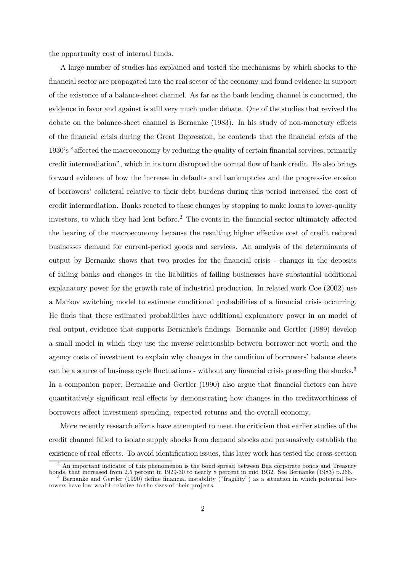the opportunity cost of internal funds.

A large number of studies has explained and tested the mechanisms by which shocks to the financial sector are propagated into the real sector of the economy and found evidence in support of the existence of a balance-sheet channel. As far as the bank lending channel is concerned, the evidence in favor and against is still very much under debate. One of the studies that revived the debate on the balance-sheet channel is Bernanke (1983). In his study of non-monetary effects of the financial crisis during the Great Depression, he contends that the financial crisis of the 1930's "affected the macroeconomy by reducing the quality of certain financial services, primarily credit intermediation", which in its turn disrupted the normal flow of bank credit. He also brings forward evidence of how the increase in defaults and bankruptcies and the progressive erosion of borrowers' collateral relative to their debt burdens during this period increased the cost of credit intermediation. Banks reacted to these changes by stopping to make loans to lower-quality investors, to which they had lent before.<sup>2</sup> The events in the financial sector ultimately affected the bearing of the macroeconomy because the resulting higher effective cost of credit reduced businesses demand for current-period goods and services. An analysis of the determinants of output by Bernanke shows that two proxies for the financial crisis - changes in the deposits of failing banks and changes in the liabilities of failing businesses have substantial additional explanatory power for the growth rate of industrial production. In related work Coe (2002) use a Markov switching model to estimate conditional probabilities of a financial crisis occurring. He finds that these estimated probabilities have additional explanatory power in an model of real output, evidence that supports Bernanke's findings. Bernanke and Gertler (1989) develop a small model in which they use the inverse relationship between borrower net worth and the agency costs of investment to explain why changes in the condition of borrowers' balance sheets can be a source of business cycle fluctuations - without any financial crisis preceding the shocks.<sup>3</sup> In a companion paper, Bernanke and Gertler (1990) also argue that financial factors can have quantitatively significant real effects by demonstrating how changes in the creditworthiness of borrowers affect investment spending, expected returns and the overall economy.

More recently research efforts have attempted to meet the criticism that earlier studies of the credit channel failed to isolate supply shocks from demand shocks and persuasively establish the existence of real effects. To avoid identification issues, this later work has tested the cross-section

<sup>2</sup> An important indicator of this phenomenon is the bond spread between Baa corporate bonds and Treasury bonds, that increased from 2.5 percent in 1929-30 to nearly 8 percent in mid 1932. See Bernanke (1983) p.266.<br><sup>3</sup> Bernanke and Gertler (1990) define financial instability ("fragility") as a situation in which potential bor

rowers have low wealth relative to the sizes of their projects.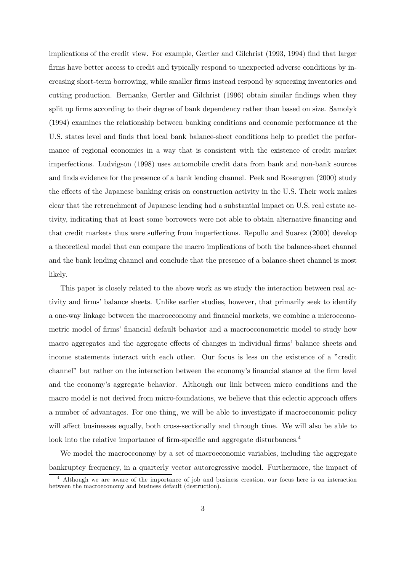implications of the credit view. For example, Gertler and Gilchrist (1993, 1994) find that larger firms have better access to credit and typically respond to unexpected adverse conditions by increasing short-term borrowing, while smaller firms instead respond by squeezing inventories and cutting production. Bernanke, Gertler and Gilchrist (1996) obtain similar findings when they split up firms according to their degree of bank dependency rather than based on size. Samolyk (1994) examines the relationship between banking conditions and economic performance at the U.S. states level and finds that local bank balance-sheet conditions help to predict the performance of regional economies in a way that is consistent with the existence of credit market imperfections. Ludvigson (1998) uses automobile credit data from bank and non-bank sources and finds evidence for the presence of a bank lending channel. Peek and Rosengren (2000) study the effects of the Japanese banking crisis on construction activity in the U.S. Their work makes clear that the retrenchment of Japanese lending had a substantial impact on U.S. real estate activity, indicating that at least some borrowers were not able to obtain alternative financing and that credit markets thus were suffering from imperfections. Repullo and Suarez (2000) develop a theoretical model that can compare the macro implications of both the balance-sheet channel and the bank lending channel and conclude that the presence of a balance-sheet channel is most likely.

This paper is closely related to the above work as we study the interaction between real activity and firms' balance sheets. Unlike earlier studies, however, that primarily seek to identify a one-way linkage between the macroeconomy and financial markets, we combine a microeconometric model of firms' financial default behavior and a macroeconometric model to study how macro aggregates and the aggregate effects of changes in individual firms' balance sheets and income statements interact with each other. Our focus is less on the existence of a "credit channel" but rather on the interaction between the economy's financial stance at the firm level and the economy's aggregate behavior. Although our link between micro conditions and the macro model is not derived from micro-foundations, we believe that this eclectic approach offers a number of advantages. For one thing, we will be able to investigate if macroeconomic policy will affect businesses equally, both cross-sectionally and through time. We will also be able to look into the relative importance of firm-specific and aggregate disturbances.<sup>4</sup>

We model the macroeconomy by a set of macroeconomic variables, including the aggregate bankruptcy frequency, in a quarterly vector autoregressive model. Furthermore, the impact of

<sup>4</sup> Although we are aware of the importance of job and business creation, our focus here is on interaction between the macroeconomy and business default (destruction).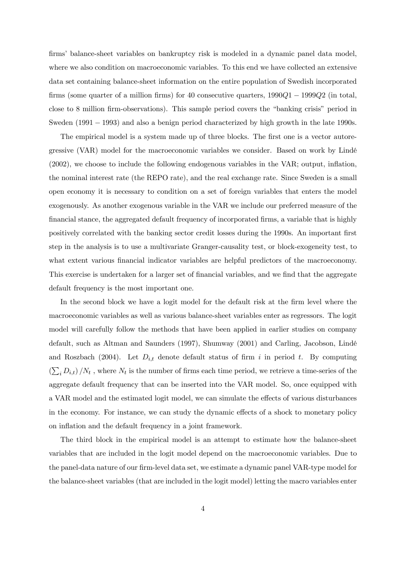firms' balance-sheet variables on bankruptcy risk is modeled in a dynamic panel data model, where we also condition on macroeconomic variables. To this end we have collected an extensive data set containing balance-sheet information on the entire population of Swedish incorporated firms (some quarter of a million firms) for 40 consecutive quarters, 1990Q1 − 1999Q2 (in total, close to 8 million firm-observations). This sample period covers the "banking crisis" period in Sweden (1991 – 1993) and also a benign period characterized by high growth in the late 1990s.

The empirical model is a system made up of three blocks. The first one is a vector autoregressive (VAR) model for the macroeconomic variables we consider. Based on work by Lindé (2002), we choose to include the following endogenous variables in the VAR; output, inflation, the nominal interest rate (the REPO rate), and the real exchange rate. Since Sweden is a small open economy it is necessary to condition on a set of foreign variables that enters the model exogenously. As another exogenous variable in the VAR we include our preferred measure of the financial stance, the aggregated default frequency of incorporated firms, a variable that is highly positively correlated with the banking sector credit losses during the 1990s. An important first step in the analysis is to use a multivariate Granger-causality test, or block-exogeneity test, to what extent various financial indicator variables are helpful predictors of the macroeconomy. This exercise is undertaken for a larger set of financial variables, and we find that the aggregate default frequency is the most important one.

In the second block we have a logit model for the default risk at the firm level where the macroeconomic variables as well as various balance-sheet variables enter as regressors. The logit model will carefully follow the methods that have been applied in earlier studies on company default, such as Altman and Saunders (1997), Shumway (2001) and Carling, Jacobson, Lindé and Roszbach (2004). Let  $D_{i,t}$  denote default status of firm i in period t. By computing  $\left(\sum_{i} D_{i,t}\right)/N_t$ , where  $N_t$  is the number of firms each time period, we retrieve a time-series of the aggregate default frequency that can be inserted into the VAR model. So, once equipped with a VAR model and the estimated logit model, we can simulate the effects of various disturbances in the economy. For instance, we can study the dynamic effects of a shock to monetary policy on inflation and the default frequency in a joint framework.

The third block in the empirical model is an attempt to estimate how the balance-sheet variables that are included in the logit model depend on the macroeconomic variables. Due to the panel-data nature of our firm-level data set, we estimate a dynamic panel VAR-type model for the balance-sheet variables (that are included in the logit model) letting the macro variables enter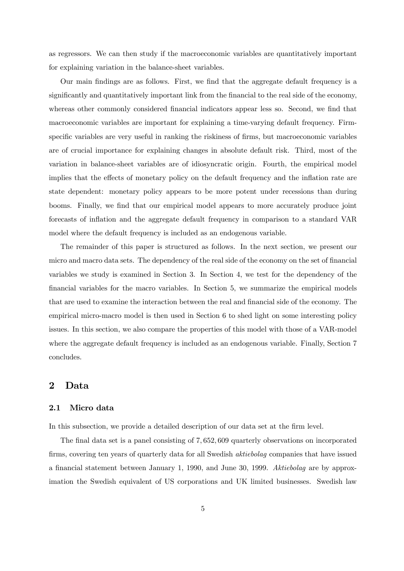as regressors. We can then study if the macroeconomic variables are quantitatively important for explaining variation in the balance-sheet variables.

Our main findings are as follows. First, we find that the aggregate default frequency is a significantly and quantitatively important link from the financial to the real side of the economy, whereas other commonly considered financial indicators appear less so. Second, we find that macroeconomic variables are important for explaining a time-varying default frequency. Firmspecific variables are very useful in ranking the riskiness of firms, but macroeconomic variables are of crucial importance for explaining changes in absolute default risk. Third, most of the variation in balance-sheet variables are of idiosyncratic origin. Fourth, the empirical model implies that the effects of monetary policy on the default frequency and the inflation rate are state dependent: monetary policy appears to be more potent under recessions than during booms. Finally, we find that our empirical model appears to more accurately produce joint forecasts of inflation and the aggregate default frequency in comparison to a standard VAR model where the default frequency is included as an endogenous variable.

The remainder of this paper is structured as follows. In the next section, we present our micro and macro data sets. The dependency of the real side of the economy on the set of financial variables we study is examined in Section 3. In Section 4, we test for the dependency of the financial variables for the macro variables. In Section 5, we summarize the empirical models that are used to examine the interaction between the real and financial side of the economy. The empirical micro-macro model is then used in Section 6 to shed light on some interesting policy issues. In this section, we also compare the properties of this model with those of a VAR-model where the aggregate default frequency is included as an endogenous variable. Finally, Section 7 concludes.

## 2 Data

#### 2.1 Micro data

In this subsection, we provide a detailed description of our data set at the firm level.

The final data set is a panel consisting of 7, 652, 609 quarterly observations on incorporated firms, covering ten years of quarterly data for all Swedish aktiebolag companies that have issued a financial statement between January 1, 1990, and June 30, 1999. Aktiebolag are by approximation the Swedish equivalent of US corporations and UK limited businesses. Swedish law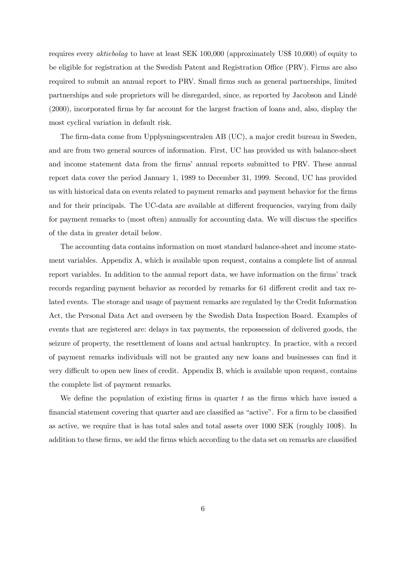requires every aktiebolag to have at least SEK 100,000 (approximately US\$ 10,000) of equity to be eligible for registration at the Swedish Patent and Registration Office (PRV). Firms are also required to submit an annual report to PRV. Small firms such as general partnerships, limited partnerships and sole proprietors will be disregarded, since, as reported by Jacobson and Lindé (2000), incorporated firms by far account for the largest fraction of loans and, also, display the most cyclical variation in default risk.

The firm-data come from Upplysningscentralen AB (UC), a major credit bureau in Sweden, and are from two general sources of information. First, UC has provided us with balance-sheet and income statement data from the firms' annual reports submitted to PRV. These annual report data cover the period January 1, 1989 to December 31, 1999. Second, UC has provided us with historical data on events related to payment remarks and payment behavior for the firms and for their principals. The UC-data are available at different frequencies, varying from daily for payment remarks to (most often) annually for accounting data. We will discuss the specifics of the data in greater detail below.

The accounting data contains information on most standard balance-sheet and income statement variables. Appendix A, which is available upon request, contains a complete list of annual report variables. In addition to the annual report data, we have information on the firms' track records regarding payment behavior as recorded by remarks for 61 different credit and tax related events. The storage and usage of payment remarks are regulated by the Credit Information Act, the Personal Data Act and overseen by the Swedish Data Inspection Board. Examples of events that are registered are: delays in tax payments, the repossession of delivered goods, the seizure of property, the resettlement of loans and actual bankruptcy. In practice, with a record of payment remarks individuals will not be granted any new loans and businesses can find it very difficult to open new lines of credit. Appendix B, which is available upon request, contains the complete list of payment remarks.

We define the population of existing firms in quarter  $t$  as the firms which have issued a financial statement covering that quarter and are classified as "active". For a firm to be classified as active, we require that is has total sales and total assets over 1000 SEK (roughly 100\$). In addition to these firms, we add the firms which according to the data set on remarks are classified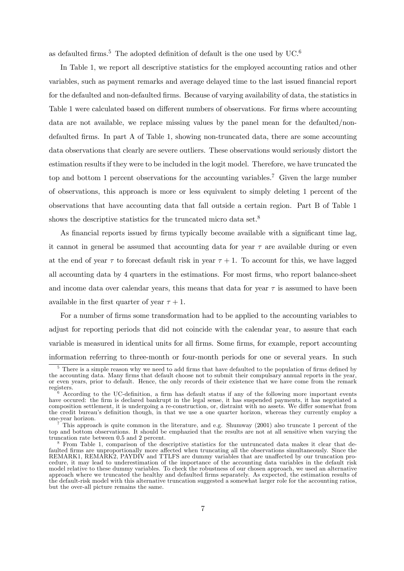as defaulted firms.<sup>5</sup> The adopted definition of default is the one used by  $UC^{6}$ 

In Table 1, we report all descriptive statistics for the employed accounting ratios and other variables, such as payment remarks and average delayed time to the last issued financial report for the defaulted and non-defaulted firms. Because of varying availability of data, the statistics in Table 1 were calculated based on different numbers of observations. For firms where accounting data are not available, we replace missing values by the panel mean for the defaulted/nondefaulted firms. In part A of Table 1, showing non-truncated data, there are some accounting data observations that clearly are severe outliers. These observations would seriously distort the estimation results if they were to be included in the logit model. Therefore, we have truncated the top and bottom 1 percent observations for the accounting variables.7 Given the large number of observations, this approach is more or less equivalent to simply deleting 1 percent of the observations that have accounting data that fall outside a certain region. Part B of Table 1 shows the descriptive statistics for the truncated micro data set.<sup>8</sup>

As financial reports issued by firms typically become available with a significant time lag, it cannot in general be assumed that accounting data for year  $\tau$  are available during or even at the end of year  $\tau$  to forecast default risk in year  $\tau + 1$ . To account for this, we have lagged all accounting data by 4 quarters in the estimations. For most firms, who report balance-sheet and income data over calendar years, this means that data for year  $\tau$  is assumed to have been available in the first quarter of year  $\tau + 1$ .

For a number of firms some transformation had to be applied to the accounting variables to adjust for reporting periods that did not coincide with the calendar year, to assure that each variable is measured in identical units for all firms. Some firms, for example, report accounting information referring to three-month or four-month periods for one or several years. In such

<sup>5</sup> There is a simple reason why we need to add firms that have defaulted to the population of firms defined by the accounting data. Many firms that default choose not to submit their compulsary annual reports in the year, or even years, prior to default. Hence, the only records of their existence that we have come from the remark

 $6$  According to the UC-definition, a firm has default status if any of the following more important events have occured: the firm is declared bankrupt in the legal sense, it has suspended payments, it has negotiated a composition settlement, it is undergoing a re-construction, or, distraint with no assets. We differ somewhat from the credit bureau's definition though, in that we use a one quarter horizon, whereas they currently employ a

 $\binom{7}{1}$  This approach is quite common in the literature, and e.g. Shumway (2001) also truncate 1 percent of the top and bottom observations. It should be emphazied that the results are not at all sensitive when varying the

 $8$  From Table 1, comparison of the descriptive statistics for the untruncated data makes it clear that defaulted firms are unproportionally more affected when truncating all the observations simultaneously. Since the REMARK1, REMARK2, PAYDIV and TTLFS are dummy variables that are unaffected by our truncation procedure, it may lead to underestimation of the importance of the accounting data variables in the default risk model relative to these dummy variables. To check the robustness of our chosen approach, we used an alternative approach where we truncated the healthy and defaulted firms separately. As expected, the estimation results of the default-risk model with this alternative truncation suggested a somewhat larger role for the accounting ratios, but the over-all picture remains the same.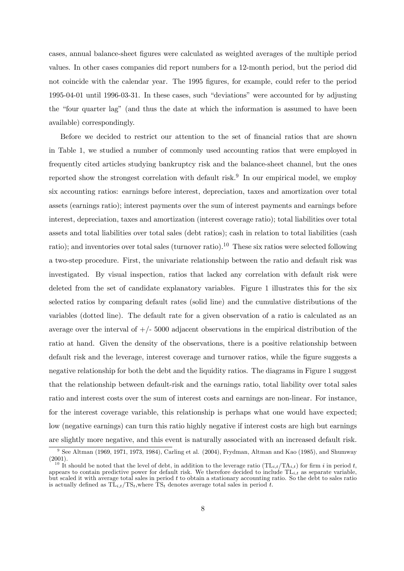cases, annual balance-sheet figures were calculated as weighted averages of the multiple period values. In other cases companies did report numbers for a 12-month period, but the period did not coincide with the calendar year. The 1995 figures, for example, could refer to the period 1995-04-01 until 1996-03-31. In these cases, such "deviations" were accounted for by adjusting the "four quarter lag" (and thus the date at which the information is assumed to have been available) correspondingly.

Before we decided to restrict our attention to the set of financial ratios that are shown in Table 1, we studied a number of commonly used accounting ratios that were employed in frequently cited articles studying bankruptcy risk and the balance-sheet channel, but the ones reported show the strongest correlation with default risk.<sup>9</sup> In our empirical model, we employ six accounting ratios: earnings before interest, depreciation, taxes and amortization over total assets (earnings ratio); interest payments over the sum of interest payments and earnings before interest, depreciation, taxes and amortization (interest coverage ratio); total liabilities over total assets and total liabilities over total sales (debt ratios); cash in relation to total liabilities (cash ratio); and inventories over total sales (turnover ratio).<sup>10</sup> These six ratios were selected following a two-step procedure. First, the univariate relationship between the ratio and default risk was investigated. By visual inspection, ratios that lacked any correlation with default risk were deleted from the set of candidate explanatory variables. Figure 1 illustrates this for the six selected ratios by comparing default rates (solid line) and the cumulative distributions of the variables (dotted line). The default rate for a given observation of a ratio is calculated as an average over the interval of  $+/- 5000$  adjacent observations in the empirical distribution of the ratio at hand. Given the density of the observations, there is a positive relationship between default risk and the leverage, interest coverage and turnover ratios, while the figure suggests a negative relationship for both the debt and the liquidity ratios. The diagrams in Figure 1 suggest that the relationship between default-risk and the earnings ratio, total liability over total sales ratio and interest costs over the sum of interest costs and earnings are non-linear. For instance, for the interest coverage variable, this relationship is perhaps what one would have expected; low (negative earnings) can turn this ratio highly negative if interest costs are high but earnings are slightly more negative, and this event is naturally associated with an increased default risk.

<sup>9</sup> See Altman (1969, 1971, 1973, 1984), Carling et al. (2004), Frydman, Altman and Kao (1985), and Shumway (2001).<br><sup>10</sup> It should be noted that the level of debt, in addition to the leverage ratio  $(TL_{i,t}/TA_{i,t})$  for firm i in period t,

appears to contain predictive power for default risk. We therefore decided to include  $TL_{i,t}$  as separate variable, but scaled it with average total sales in period  $t$  to obtain a stationary accounting ratio. So the debt to sales ratio is actually defined as  $TL_{i,t}/TS_t$ , where  $TS_t$  denotes average total sales in period t.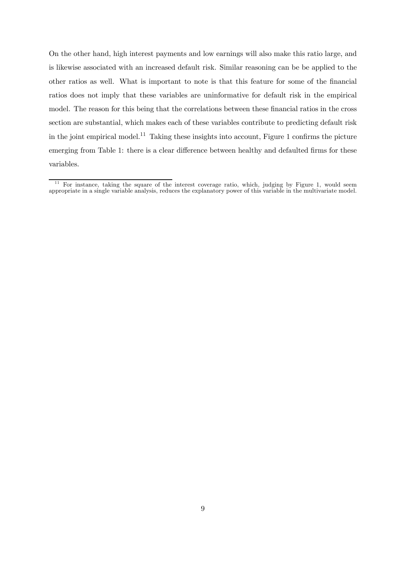On the other hand, high interest payments and low earnings will also make this ratio large, and is likewise associated with an increased default risk. Similar reasoning can be be applied to the other ratios as well. What is important to note is that this feature for some of the financial ratios does not imply that these variables are uninformative for default risk in the empirical model. The reason for this being that the correlations between these financial ratios in the cross section are substantial, which makes each of these variables contribute to predicting default risk in the joint empirical model.<sup>11</sup> Taking these insights into account, Figure 1 confirms the picture emerging from Table 1: there is a clear difference between healthy and defaulted firms for these variables.

 $11$  For instance, taking the square of the interest coverage ratio, which, judging by Figure 1, would seem appropriate in a single variable analysis, reduces the explanatory power of this variable in the multivariate model.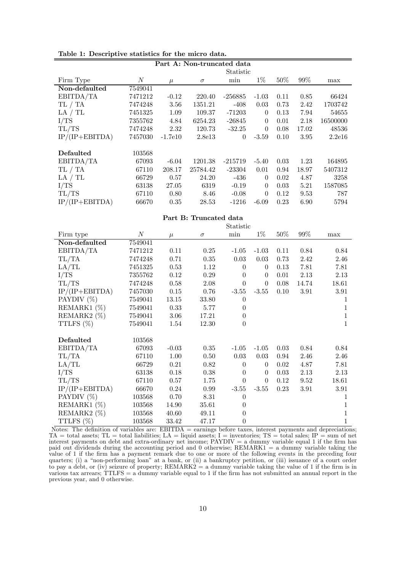|                  |                  |           | Part A: Non-truncated data |                |          |        |        |          |
|------------------|------------------|-----------|----------------------------|----------------|----------|--------|--------|----------|
|                  |                  |           |                            | Statistic      |          |        |        |          |
| Firm Type        | $\boldsymbol{N}$ | $\mu$     | $\sigma$                   | min            | $1\%$    | $50\%$ | $99\%$ | max      |
| Non-defaulted    | 7549041          |           |                            |                |          |        |        |          |
| EBITDA/TA        | 7471212          | $-0.12$   | 220.40                     | $-256885$      | $-1.03$  | 0.11   | 0.85   | 66424    |
| TL / TA          | 7474248          | 3.56      | 1351.21                    | $-408$         | 0.03     | 0.73   | 2.42   | 1703742  |
| LA / TL          | 7451325          | 1.09      | 109.37                     | $-71203$       | $\theta$ | 0.13   | 7.94   | 54655    |
| I/TS             | 7355762          | 4.84      | 6254.23                    | $-26845$       | $\theta$ | 0.01   | 2.18   | 16500000 |
| TL/TS            | 7474248          | 2.32      | 120.73                     | $-32.25$       | $\theta$ | 0.08   | 17.02  | 48536    |
| $IP/(IP+EBITDA)$ | 7457030          | $-1.7e10$ | 2.8e13                     | $\overline{0}$ | $-3.59$  | 0.10   | 3.95   | 2.2e16   |
|                  |                  |           |                            |                |          |        |        |          |
| Defaulted        | 103568           |           |                            |                |          |        |        |          |
| EBITDA/TA        | 67093            | $-6.04$   | 1201.38                    | $-215719$      | $-5.40$  | 0.03   | 1.23   | 164895   |
| TL / TA          | 67110            | 208.17    | 25784.42                   | $-23304$       | 0.01     | 0.94   | 18.97  | 5407312  |
| LA / TL          | 66729            | 0.57      | 24.20                      | -436           | $\theta$ | 0.02   | 4.87   | 3258     |
| I/TS             | 63138            | 27.05     | 6319                       | $-0.19$        | $\theta$ | 0.03   | 5.21   | 1587085  |
| TL/TS            | 67110            | 0.80      | 8.46                       | $-0.08$        | $\theta$ | 0.12   | 9.53   | 787      |
| $IP/(IP+EBITDA)$ | 66670            | 0.35      | 28.53                      | $-1216$        | $-6.09$  | 0.23   | 6.90   | 5794     |
|                  |                  |           |                            |                |          |        |        |          |
|                  |                  |           | Part B: Truncated data     |                |          |        |        |          |
|                  |                  |           |                            | Statistic      |          |        |        |          |
| Firm type        | $\boldsymbol{N}$ | $\mu$     | $\sigma$                   | min            | $1\%$    | $50\%$ | $99\%$ | max      |

|                  |                  |         |          | Statistic        |          |        |       |              |
|------------------|------------------|---------|----------|------------------|----------|--------|-------|--------------|
| Firm type        | $\boldsymbol{N}$ | $\mu$   | $\sigma$ | min              | $1\%$    | $50\%$ | 99%   | max          |
| Non-defaulted    | 7549041          |         |          |                  |          |        |       |              |
| EBITDA/TA        | 7471212          | 0.11    | 0.25     | $-1.05$          | $-1.03$  | 0.11   | 0.84  | 0.84         |
| TL/TA            | 7474248          | 0.71    | 0.35     | 0.03             | 0.03     | 0.73   | 2.42  | 2.46         |
| LA/TL            | 7451325          | 0.53    | 1.12     | $\theta$         | $\theta$ | 0.13   | 7.81  | 7.81         |
| I/TS             | 7355762          | 0.12    | 0.29     | $\theta$         | $\theta$ | 0.01   | 2.13  | 2.13         |
| TL/TS            | 7474248          | 0.58    | 2.08     | $\theta$         | $\theta$ | 0.08   | 14.74 | 18.61        |
| $IP/(IP+EBITDA)$ | 7457030          | 0.15    | 0.76     | $-3.55$          | $-3.55$  | 0.10   | 3.91  | 3.91         |
| PAYDIV (%)       | 7549041          | 13.15   | 33.80    | $\theta$         |          |        |       | 1            |
| REMARK1 $(\%)$   | 7549041          | 0.33    | 5.77     | $\theta$         |          |        |       | 1            |
| REMARK2 $(\%)$   | 7549041          | 3.06    | 17.21    | $\theta$         |          |        |       | 1            |
| TTLFS (%)        | 7549041          | 1.54    | 12.30    | $\boldsymbol{0}$ |          |        |       | $\mathbf{1}$ |
| Defaulted        | 103568           |         |          |                  |          |        |       |              |
| EBITDA/TA        | 67093            | $-0.03$ | 0.35     | $-1.05$          | $-1.05$  | 0.03   | 0.84  | 0.84         |
| TL/TA            | 67110            | 1.00    | 0.50     | 0.03             | 0.03     | 0.94   | 2.46  | 2.46         |
| LA/TL            | 66729            | 0.21    | 0.82     | $\theta$         | $\theta$ | 0.02   | 4.87  | 7.81         |
| I/TS             | 63138            | 0.18    | 0.38     | $\theta$         | $\theta$ | 0.03   | 2.13  | 2.13         |
| TL/TS            |                  |         |          | $\theta$         | $\theta$ | 0.12   |       |              |
|                  | 67110            | 0.57    | 1.75     |                  |          |        | 9.52  | 18.61        |
| $IP/(IP+EBITDA)$ | 66670            | 0.24    | 0.99     | $-3.55$          | $-3.55$  | 0.23   | 3.91  | 3.91         |
| PAYDIV $(\%)$    | 103568           | 0.70    | 8.31     | $\theta$         |          |        |       | 1            |
| REMARK1 (%)      | 103568           | 14.90   | 35.61    | $\theta$         |          |        |       | 1            |
| REMARK2 (%)      | 103568           | 40.60   | 49.11    | $\theta$         |          |        |       | 1            |
| TTLFS (%)        | 103568           | 33.42   | 47.17    | $\theta$         |          |        |       | 1            |

Notes: The definition of variables are: EBITDA = earnings before taxes, interest payments and depreciations;  $TA = total$  assets;  $TL = total$  liabilities;  $LA = liquid$  assets;  $I =$  inventories;  $TS = total$  sales;  $IP = sum$  of net interest payments on debt and extra-ordinary net income; PAYDIV = a dummy variable equal 1 if the firm has paid out dividends during the accounting period and 0 otherwise; REMARK1 = a dummy variable taking the value of 1 if the firm has a payment remark due to one or more of the following events in the preceding four quarters; (i) a "non-performing loan" at a bank, or (ii) a bankruptcy petition, or (iii) issuance of a court order to pay a debt, or (iv) seizure of property;  $REMARK2 = a$  dummy variable taking the value of 1 if the firm is in various tax arrears; TTLFS = a dummy variable equal to 1 if the firm has not submitted an annual report in the previous year, and 0 otherwise.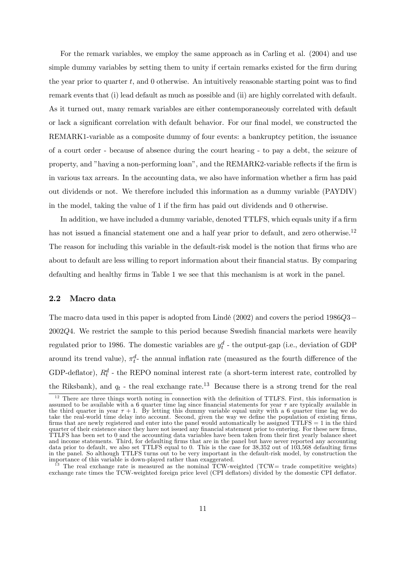For the remark variables, we employ the same approach as in Carling et al. (2004) and use simple dummy variables by setting them to unity if certain remarks existed for the firm during the year prior to quarter t, and 0 otherwise. An intuitively reasonable starting point was to find remark events that (i) lead default as much as possible and (ii) are highly correlated with default. As it turned out, many remark variables are either contemporaneously correlated with default or lack a significant correlation with default behavior. For our final model, we constructed the REMARK1-variable as a composite dummy of four events: a bankruptcy petition, the issuance of a court order - because of absence during the court hearing - to pay a debt, the seizure of property, and "having a non-performing loan", and the REMARK2-variable reflects if the firm is in various tax arrears. In the accounting data, we also have information whether a firm has paid out dividends or not. We therefore included this information as a dummy variable (PAYDIV) in the model, taking the value of 1 if the firm has paid out dividends and 0 otherwise.

In addition, we have included a dummy variable, denoted TTLFS, which equals unity if a firm has not issued a financial statement one and a half year prior to default, and zero otherwise.<sup>12</sup> The reason for including this variable in the default-risk model is the notion that firms who are about to default are less willing to report information about their financial status. By comparing defaulting and healthy firms in Table 1 we see that this mechanism is at work in the panel.

#### 2.2 Macro data

The macro data used in this paper is adopted from Lindé (2002) and covers the period 1986Q3− 2002Q4. We restrict the sample to this period because Swedish financial markets were heavily regulated prior to 1986. The domestic variables are  $y_t^d$  - the output-gap (i.e., deviation of GDP around its trend value),  $\pi_t^d$  the annual inflation rate (measured as the fourth difference of the GDP-deflator),  $R_t^d$  - the REPO nominal interest rate (a short-term interest rate, controlled by the Riksbank), and  $q_t$  - the real exchange rate.<sup>13</sup> Because there is a strong trend for the real

<sup>&</sup>lt;sup>12</sup> There are three things worth noting in connection with the definition of TTLFS. First, this information is assumed to be available with a 6 quarter time lag since financial statements for year  $\tau$  are typically available in the third quarter in year  $\tau + 1$ . By letting this dummy variable equal unity with a 6 quarter time lag we do take the real-world time delay into account. Second, given the way we define the population of existing firms, firms that are newly registered and enter into the panel would automatically be assigned TTLFS = 1 in the third quarter of their existence since they have not issued any financial statement prior to entering. For these new firms, TTLFS has been set to 0 and the accounting data variables have been taken from their first yearly balance sheet and income statements. Third, for defaulting firms that are in the panel but have never reported any accounting data prior to default, we also set TTLFS equal to 0. This is the case for 38,352 out of 103,568 defaulting fir in the panel. So although TTLFS turns out to be very important in the default-risk model, by construction the importance of this variable is down-played rather than exaggerated.

<sup>&</sup>lt;sup>13</sup> The real exchange rate is measured as the nominal TCW-weighted (TCW= trade competitive weights) exchange rate times the TCW-weighted foreign price level (CPI deflators) divided by the domestic CPI deflator.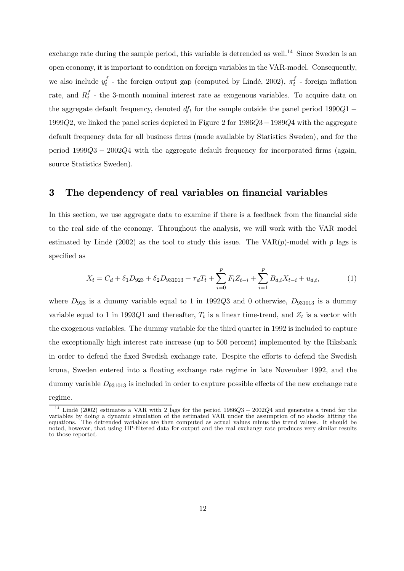exchange rate during the sample period, this variable is detrended as well.<sup>14</sup> Since Sweden is an open economy, it is important to condition on foreign variables in the VAR-model. Consequently, we also include  $y_t^f$  - the foreign output gap (computed by Lindé, 2002),  $\pi_t^f$  - foreign inflation rate, and  $R_t^f$  - the 3-month nominal interest rate as exogenous variables. To acquire data on the aggregate default frequency, denoted  $df_t$  for the sample outside the panel period 1990Q1 – 1999Q2, we linked the panel series depicted in Figure 2 for 1986Q3−1989Q4 with the aggregate default frequency data for all business firms (made available by Statistics Sweden), and for the period 1999Q3 − 2002Q4 with the aggregate default frequency for incorporated firms (again, source Statistics Sweden).

## 3 The dependency of real variables on financial variables

In this section, we use aggregate data to examine if there is a feedback from the financial side to the real side of the economy. Throughout the analysis, we will work with the VAR model estimated by Lindé (2002) as the tool to study this issue. The  $VAR(p)$ -model with p lags is specified as

$$
X_t = C_d + \delta_1 D_{923} + \delta_2 D_{931013} + \tau_d T_t + \sum_{i=0}^p F_i Z_{t-i} + \sum_{i=1}^p B_{d,i} X_{t-i} + u_{d,t},\tag{1}
$$

where  $D_{923}$  is a dummy variable equal to 1 in 1992Q3 and 0 otherwise,  $D_{931013}$  is a dummy variable equal to 1 in 1993Q1 and thereafter,  $T_t$  is a linear time-trend, and  $Z_t$  is a vector with the exogenous variables. The dummy variable for the third quarter in 1992 is included to capture the exceptionally high interest rate increase (up to 500 percent) implemented by the Riksbank in order to defend the fixed Swedish exchange rate. Despite the efforts to defend the Swedish krona, Sweden entered into a floating exchange rate regime in late November 1992, and the dummy variable  $D_{931013}$  is included in order to capture possible effects of the new exchange rate

regime.

<sup>&</sup>lt;sup>14</sup> Lindé (2002) estimates a VAR with 2 lags for the period  $1986Q3 - 2002Q4$  and generates a trend for the variables by doing a dynamic simulation of the estimated VAR under the assumption of no shocks hitting the equations. The detrended variables are then computed as actual values minus the trend values. It should be noted, however, that using HP-filtered data for output and the real exchange rate produces very similar results to those reported.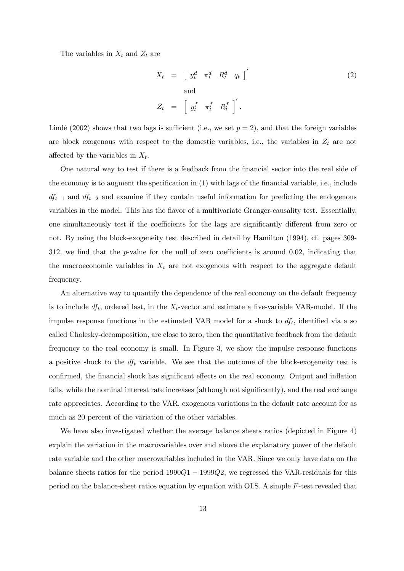The variables in  $X_t$  and  $Z_t$  are

$$
X_t = \begin{bmatrix} y_t^d & \pi_t^d & R_t^d & q_t \end{bmatrix}' \tag{2}
$$
  
and  

$$
Z_t = \begin{bmatrix} y_t^f & \pi_t^f & R_t^f \end{bmatrix}'.
$$

Lindé (2002) shows that two lags is sufficient (i.e., we set  $p = 2$ ), and that the foreign variables are block exogenous with respect to the domestic variables, i.e., the variables in  $Z_t$  are not affected by the variables in  $X_t$ .

One natural way to test if there is a feedback from the financial sector into the real side of the economy is to augment the specification in (1) with lags of the financial variable, i.e., include  $df_{t-1}$  and  $df_{t-2}$  and examine if they contain useful information for predicting the endogenous variables in the model. This has the flavor of a multivariate Granger-causality test. Essentially, one simultaneously test if the coefficients for the lags are significantly different from zero or not. By using the block-exogeneity test described in detail by Hamilton (1994), cf. pages 309- 312, we find that the p-value for the null of zero coefficients is around 0.02, indicating that the macroeconomic variables in  $X_t$  are not exogenous with respect to the aggregate default frequency.

An alternative way to quantify the dependence of the real economy on the default frequency is to include  $df_t$ , ordered last, in the  $X_t$ -vector and estimate a five-variable VAR-model. If the impulse response functions in the estimated VAR model for a shock to  $df_t$ , identified via a so called Cholesky-decomposition, are close to zero, then the quantitative feedback from the default frequency to the real economy is small. In Figure 3, we show the impulse response functions a positive shock to the  $df_t$  variable. We see that the outcome of the block-exogeneity test is confirmed, the financial shock has significant effects on the real economy. Output and inflation falls, while the nominal interest rate increases (although not significantly), and the real exchange rate appreciates. According to the VAR, exogenous variations in the default rate account for as much as 20 percent of the variation of the other variables.

We have also investigated whether the average balance sheets ratios (depicted in Figure 4) explain the variation in the macrovariables over and above the explanatory power of the default rate variable and the other macrovariables included in the VAR. Since we only have data on the balance sheets ratios for the period  $1990Q1 - 1999Q2$ , we regressed the VAR-residuals for this period on the balance-sheet ratios equation by equation with OLS. A simple F-test revealed that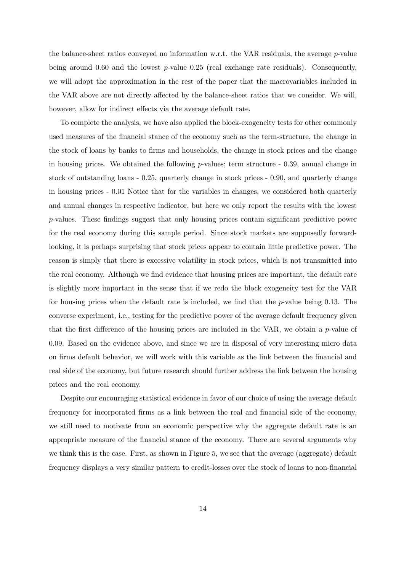the balance-sheet ratios conveyed no information w.r.t. the VAR residuals, the average p-value being around 0.60 and the lowest  $p$ -value 0.25 (real exchange rate residuals). Consequently, we will adopt the approximation in the rest of the paper that the macrovariables included in the VAR above are not directly affected by the balance-sheet ratios that we consider. We will, however, allow for indirect effects via the average default rate.

To complete the analysis, we have also applied the block-exogeneity tests for other commonly used measures of the financial stance of the economy such as the term-structure, the change in the stock of loans by banks to firms and households, the change in stock prices and the change in housing prices. We obtained the following  $p$ -values; term structure  $-0.39$ , annual change in stock of outstanding loans - 0.25, quarterly change in stock prices - 0.90, and quarterly change in housing prices - 0.01 Notice that for the variables in changes, we considered both quarterly and annual changes in respective indicator, but here we only report the results with the lowest p-values. These findings suggest that only housing prices contain significant predictive power for the real economy during this sample period. Since stock markets are supposedly forwardlooking, it is perhaps surprising that stock prices appear to contain little predictive power. The reason is simply that there is excessive volatility in stock prices, which is not transmitted into the real economy. Although we find evidence that housing prices are important, the default rate is slightly more important in the sense that if we redo the block exogeneity test for the VAR for housing prices when the default rate is included, we find that the  $p$ -value being 0.13. The converse experiment, i.e., testing for the predictive power of the average default frequency given that the first difference of the housing prices are included in the VAR, we obtain a  $p$ -value of 0.09. Based on the evidence above, and since we are in disposal of very interesting micro data on firms default behavior, we will work with this variable as the link between the financial and real side of the economy, but future research should further address the link between the housing prices and the real economy.

Despite our encouraging statistical evidence in favor of our choice of using the average default frequency for incorporated firms as a link between the real and financial side of the economy, we still need to motivate from an economic perspective why the aggregate default rate is an appropriate measure of the financial stance of the economy. There are several arguments why we think this is the case. First, as shown in Figure 5, we see that the average (aggregate) default frequency displays a very similar pattern to credit-losses over the stock of loans to non-financial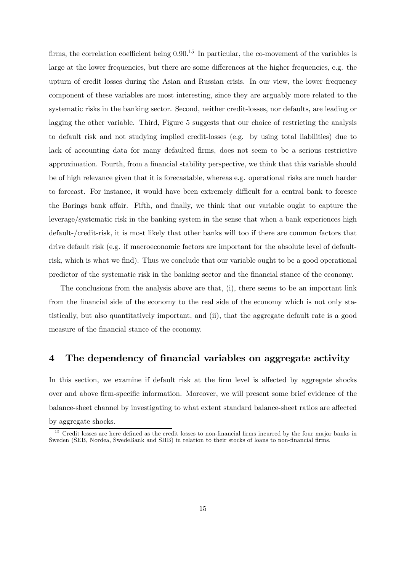firms, the correlation coefficient being 0.90.<sup>15</sup> In particular, the co-movement of the variables is large at the lower frequencies, but there are some differences at the higher frequencies, e.g. the upturn of credit losses during the Asian and Russian crisis. In our view, the lower frequency component of these variables are most interesting, since they are arguably more related to the systematic risks in the banking sector. Second, neither credit-losses, nor defaults, are leading or lagging the other variable. Third, Figure 5 suggests that our choice of restricting the analysis to default risk and not studying implied credit-losses (e.g. by using total liabilities) due to lack of accounting data for many defaulted firms, does not seem to be a serious restrictive approximation. Fourth, from a financial stability perspective, we think that this variable should be of high relevance given that it is forecastable, whereas e.g. operational risks are much harder to forecast. For instance, it would have been extremely difficult for a central bank to foresee the Barings bank affair. Fifth, and finally, we think that our variable ought to capture the leverage/systematic risk in the banking system in the sense that when a bank experiences high default-/credit-risk, it is most likely that other banks will too if there are common factors that drive default risk (e.g. if macroeconomic factors are important for the absolute level of defaultrisk, which is what we find). Thus we conclude that our variable ought to be a good operational predictor of the systematic risk in the banking sector and the financial stance of the economy.

The conclusions from the analysis above are that, (i), there seems to be an important link from the financial side of the economy to the real side of the economy which is not only statistically, but also quantitatively important, and (ii), that the aggregate default rate is a good measure of the financial stance of the economy.

## 4 The dependency of financial variables on aggregate activity

In this section, we examine if default risk at the firm level is affected by aggregate shocks over and above firm-specific information. Moreover, we will present some brief evidence of the balance-sheet channel by investigating to what extent standard balance-sheet ratios are affected by aggregate shocks.

 $15$  Credit losses are here defined as the credit losses to non-financial firms incurred by the four major banks in Sweden (SEB, Nordea, SwedeBank and SHB) in relation to their stocks of loans to non-financial firms.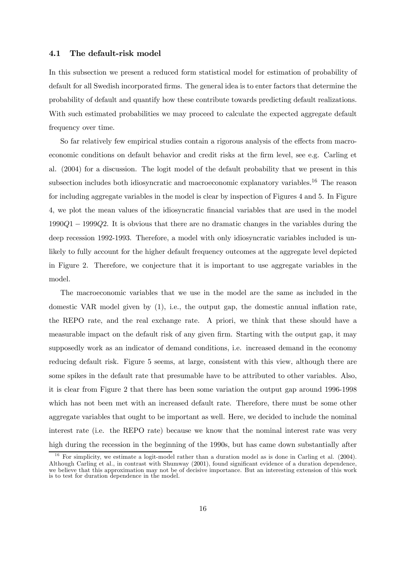#### 4.1 The default-risk model

In this subsection we present a reduced form statistical model for estimation of probability of default for all Swedish incorporated firms. The general idea is to enter factors that determine the probability of default and quantify how these contribute towards predicting default realizations. With such estimated probabilities we may proceed to calculate the expected aggregate default frequency over time.

So far relatively few empirical studies contain a rigorous analysis of the effects from macroeconomic conditions on default behavior and credit risks at the firm level, see e.g. Carling et al. (2004) for a discussion. The logit model of the default probability that we present in this subsection includes both idiosyncratic and macroeconomic explanatory variables.<sup>16</sup> The reason for including aggregate variables in the model is clear by inspection of Figures 4 and 5. In Figure 4, we plot the mean values of the idiosyncratic financial variables that are used in the model 1990Q1 − 1999Q2. It is obvious that there are no dramatic changes in the variables during the deep recession 1992-1993. Therefore, a model with only idiosyncratic variables included is unlikely to fully account for the higher default frequency outcomes at the aggregate level depicted in Figure 2. Therefore, we conjecture that it is important to use aggregate variables in the model.

The macroeconomic variables that we use in the model are the same as included in the domestic VAR model given by (1), i.e., the output gap, the domestic annual inflation rate, the REPO rate, and the real exchange rate. A priori, we think that these should have a measurable impact on the default risk of any given firm. Starting with the output gap, it may supposedly work as an indicator of demand conditions, i.e. increased demand in the economy reducing default risk. Figure 5 seems, at large, consistent with this view, although there are some spikes in the default rate that presumable have to be attributed to other variables. Also, it is clear from Figure 2 that there has been some variation the output gap around 1996-1998 which has not been met with an increased default rate. Therefore, there must be some other aggregate variables that ought to be important as well. Here, we decided to include the nominal interest rate (i.e. the REPO rate) because we know that the nominal interest rate was very high during the recession in the beginning of the 1990s, but has came down substantially after

<sup>1 6</sup> For simplicity, we estimate a logit-model rather than a duration model as is done in Carling et al. (2004). Although Carling et al., in contrast with Shumway (2001), found significant evidence of a duration dependence, we believe that this approximation may not be of decisive importance. But an interesting extension of this work is to test for duration dependence in the model.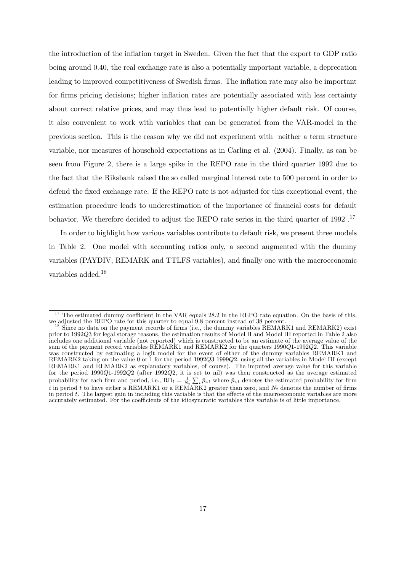the introduction of the inflation target in Sweden. Given the fact that the export to GDP ratio being around 0.40, the real exchange rate is also a potentially important variable, a deprecation leading to improved competitiveness of Swedish firms. The inflation rate may also be important for firms pricing decisions; higher inflation rates are potentially associated with less certainty about correct relative prices, and may thus lead to potentially higher default risk. Of course, it also convenient to work with variables that can be generated from the VAR-model in the previous section. This is the reason why we did not experiment with neither a term structure variable, nor measures of household expectations as in Carling et al. (2004). Finally, as can be seen from Figure 2, there is a large spike in the REPO rate in the third quarter 1992 due to the fact that the Riksbank raised the so called marginal interest rate to 500 percent in order to defend the fixed exchange rate. If the REPO rate is not adjusted for this exceptional event, the estimation procedure leads to underestimation of the importance of financial costs for default behavior. We therefore decided to adjust the REPO rate series in the third quarter of 1992.<sup>17</sup>

In order to highlight how various variables contribute to default risk, we present three models in Table 2. One model with accounting ratios only, a second augmented with the dummy variables (PAYDIV, REMARK and TTLFS variables), and finally one with the macroeconomic variables added.<sup>18</sup>

 $17$  The estimated dummy coefficient in the VAR equals 28.2 in the REPO rate equation. On the basis of this, we adjusted the REPO rate for this quarter to equal 9.8 percent instead of 38 percent.

Since no data on the payment records of firms (i.e., the dummy variables  $REMARK1$  and  $REMARK2$ ) exist prior to 1992Q3 for legal storage reasons, the estimation results of Model II and Model III reported in Table 2 also includes one additional variable (not reported) which is constructed to be an estimate of the average value of the sum of the payment record variables REMARK1 and REMARK2 for the quarters 1990Q1-1992Q2. This variable was constructed by estimating a logit model for the event of either of the dummy variables REMARK1 and REMARK2 taking on the value 0 or 1 for the period 1992Q3-1999Q2, using all the variables in Model III (except REMARK1 and REMARK2 as explanatory variables, of course). The imputed average value for this variable for the period 1990Q1-1992Q2 (after 1992Q2, it is set to nil) was then constructed as the average estimated probability for each firm and period, i.e.,  $RD_t = \frac{1}{N_t} \sum_i \hat{p}_{i,t}$  where  $\hat{p}_{i,t}$  denotes the estimated probability for firm i in period t to have either a REMARK1 or a REMARK2 greater than zero, and  $N_t$  denotes the number of firms in period t. The largest gain in including this variable is that the effects of the macroeconomic variables are m accurately estimated. For the coefficients of the idiosyncratic variables this variable is of little importance.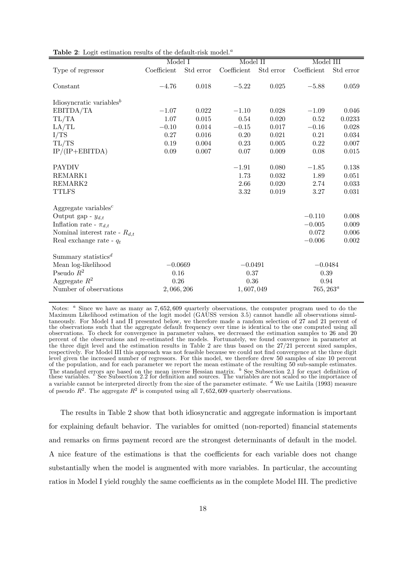|                                                   | Model I     |           | Model II    |           | Model III    |           |
|---------------------------------------------------|-------------|-----------|-------------|-----------|--------------|-----------|
| Type of regressor                                 | Coefficient | Std error | Coefficient | Std error | Coefficient  | Std error |
|                                                   |             |           |             |           |              |           |
| Constant                                          | $-4.76$     | 0.018     | $-5.22$     | 0.025     | $-5.88$      | 0.059     |
| Idiosyncratic variables <sup><math>b</math></sup> |             |           |             |           |              |           |
| EBITDA/TA                                         | $-1.07$     | 0.022     | $-1.10$     | 0.028     | $-1.09$      | 0.046     |
| TL/TA                                             | 1.07        | 0.015     | $0.54\,$    | 0.020     | $0.52\,$     | 0.0233    |
| LA/TL                                             | $-0.10$     | 0.014     | $-0.15$     | 0.017     | $-0.16$      | 0.028     |
| I/TS                                              | 0.27        | 0.016     | 0.20        | 0.021     | 0.21         | 0.034     |
| TL/TS                                             | 0.19        | 0.004     | 0.23        | 0.005     | 0.22         | 0.007     |
| $IP/(IP+EBITDA)$                                  | 0.09        | 0.007     | 0.07        | 0.009     | 0.08         | 0.015     |
|                                                   |             |           |             |           |              |           |
| <b>PAYDIV</b>                                     |             |           | $-1.91$     | 0.080     | $-1.85$      | 0.138     |
| REMARK1                                           |             |           | 1.73        | 0.032     | 1.89         | 0.051     |
| REMARK2                                           |             |           | 2.66        | 0.020     | 2.74         | 0.033     |
| <b>TTLFS</b>                                      |             |           | 3.32        | 0.019     | 3.27         | 0.031     |
|                                                   |             |           |             |           |              |           |
| Aggregate variables <sup><math>c</math></sup>     |             |           |             |           |              |           |
| Output gap - $y_{d,t}$                            |             |           |             |           | $-0.110$     | 0.008     |
| Inflation rate - $\pi_{d,t}$                      |             |           |             |           | $-0.005$     | 0.009     |
| Nominal interest rate - $R_{d,t}$                 |             |           |             |           | 0.072        | 0.006     |
| Real exchange rate - $q_t$                        |             |           |             |           | $-0.006$     | 0.002     |
| Summary statistics <sup><math>d</math></sup>      |             |           |             |           |              |           |
| Mean log-likelihood                               | $-0.0669$   |           | $-0.0491$   |           | $-0.0484$    |           |
| Pseudo $R^2$                                      | 0.16        |           | 0.37        |           | 0.39         |           |
| Aggregate $R^2$                                   | 0.26        |           | 0.36        |           | 0.94         |           |
| Number of observations                            | 2,066,206   |           | 1,607,049   |           | $765, 263^a$ |           |

Table 2: Logit estimation results of the default-risk model.<sup> $a$ </sup>

Notes: <sup>a</sup> Since we have as many as 7,652,609 quarterly observations, the computer program used to do the Maximum Likelihood estimation of the logit model (GAUSS version 3.5) cannot handle all observations simultaneously. For Model I and II presented below, we therefore made a random selection of 27 and 21 percent of the observations such that the aggregate default frequency over time is identical to the one computed using all observations. To check for convergence in parameter values, we decreased the estimation samples to 26 and 20 percent of the observations and re-estimated the models. Fortunately, we found convergence in parameter at the three digit level and the estimation results in Table 2 are thus based on the 27/21 percent sized samples, respectively. For Model III this approach was not feasible because we could not find convergence at the three digit level given the increased number of regressors. For this model, we therefore drew 50 samples of size 10 percent of the population, and for each parameter we report the mean estimate of the resulting 50 sub-sample estimates. The standard errors are based on the mean inverse Hessian matrix. <sup>b</sup> See Subsection 2.1 for exact definition of<br>these variables. <sup>c</sup> See Subsection 2.2 for definition and sources. The variables are not scaled so the impor a variable cannot be interpreted directly from the size of the parameter estimate.  $d$  We use Laitila (1993) measure of pseudo  $R^2$ . The aggregate  $R^2$  is computed using all 7,652,609 quarterly observations.

The results in Table 2 show that both idiosyncratic and aggregate information is important for explaining default behavior. The variables for omitted (non-reported) financial statements and remarks on firms payment record are the strongest determinants of default in the model. A nice feature of the estimations is that the coefficients for each variable does not change substantially when the model is augmented with more variables. In particular, the accounting ratios in Model I yield roughly the same coefficients as in the complete Model III. The predictive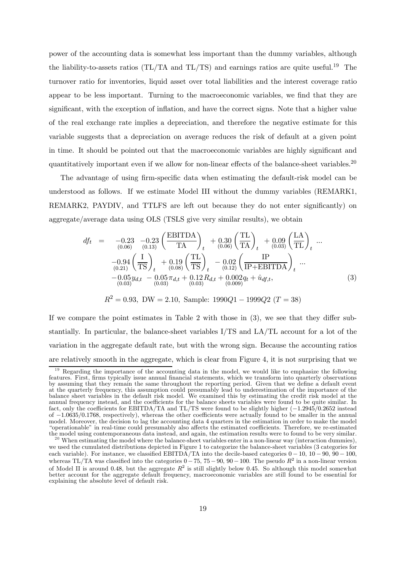power of the accounting data is somewhat less important than the dummy variables, although the liability-to-assets ratios (TL/TA and TL/TS) and earnings ratios are quite useful.<sup>19</sup> The turnover ratio for inventories, liquid asset over total liabilities and the interest coverage ratio appear to be less important. Turning to the macroeconomic variables, we find that they are significant, with the exception of inflation, and have the correct signs. Note that a higher value of the real exchange rate implies a depreciation, and therefore the negative estimate for this variable suggests that a depreciation on average reduces the risk of default at a given point in time. It should be pointed out that the macroeconomic variables are highly significant and quantitatively important even if we allow for non-linear effects of the balance-sheet variables.<sup>20</sup>

The advantage of using firm-specific data when estimating the default-risk model can be understood as follows. If we estimate Model III without the dummy variables (REMARK1, REMARK2, PAYDIV, and TTLFS are left out because they do not enter significantly) on aggregate/average data using OLS (TSLS give very similar results), we obtain

$$
df_{t} = -0.23 -0.23 \left( \frac{\text{EBITDA}}{\text{TA}} \right)_{t} + 0.30 \left( \frac{\text{TL}}{\text{TA}} \right)_{t} + 0.09 \left( \frac{\text{LA}}{\text{TL}} \right)_{t} ...
$$
  

$$
-0.94 \left( \frac{\text{I}}{\text{TS}} \right)_{t} + 0.19 \left( \frac{\text{TL}}{\text{TS}} \right)_{t} - 0.02 \left( \frac{\text{IP}}{\text{IP} + \text{EBITDA}} \right)_{t} ...
$$
  

$$
-0.05 y_{d,t} - 0.05 \pi_{d,t} + 0.12 R_{d,t} + 0.002 q_{t} + \hat{u}_{df,t},
$$
  

$$
(-0.03)^{d_{d,t}} - (0.03)^{d_{d,t}} + (0.03)^{d_{d,t}} + (0.009)^{d_{d,t}} + \hat{u}_{df,t},
$$
  
(3)

$$
R^2 = 0.93
$$
, DW = 2.10, Sample: 1990Q1 - 1999Q2 (T = 38)

If we compare the point estimates in Table 2 with those in (3), we see that they differ substantially. In particular, the balance-sheet variables I/TS and LA/TL account for a lot of the variation in the aggregate default rate, but with the wrong sign. Because the accounting ratios are relatively smooth in the aggregate, which is clear from Figure 4, it is not surprising that we

 $19$  Regarding the importance of the accounting data in the model, we would like to emphasize the following features. First, firms typically issue annual financial statements, which we transform into quarterly observations by assuming that they remain the same throughout the reporting period. Given that we define a default event at the quarterly frequency, this assumption could presumably lead to underestimation of the importance of the balance sheet variables in the default risk model. We examined this by estimating the credit risk model at the annual frequency instead, and the coefficients for the balance sheets variables were found to be quite similar. In fact, only the coefficients for EBITDA/TA and TL/TS were found to be slightly higher (−1.2945/0.2652 instead of −1.0635/0.1768, respectively), whereas the other coefficients were actually found to be smaller in the annual model. Moreover, the decision to lag the accounting data 4 quarters in the estimation in order to make the model "operationable" in real-time could presumably also affects the estimated coefficients. Therefore, we re-estimated

 $20$  When estimating the model where the balance-sheet variables enter in a non-linear way (interaction dummies), we used the cumulated distributions depicted in Figure 1 to categorize the balance-sheet variables (3 categories for each variable). For instance, we classified EBITDA/TA into the decile-based categories  $0 - 10$ ,  $10 - 90$ ,  $90 - 100$ , whereas TL/TA was classified into the categories  $0-75$ ,  $75-90$ ,  $90-100$ . The pseudo  $R^2$  in a non-linear version of Model II is around 0.48, but the aggregate  $R^2$  is still slightly below 0.45. So although this model somewhat better account for the aggregate default frequency, macroeconomic variables are still found to be essential for explaining the absolute level of default risk.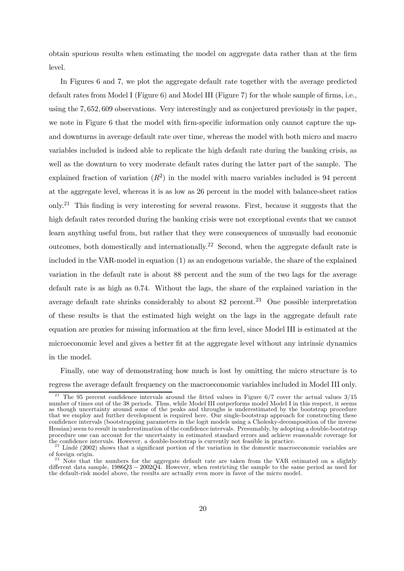obtain spurious results when estimating the model on aggregate data rather than at the firm level.

In Figures 6 and 7, we plot the aggregate default rate together with the average predicted default rates from Model I (Figure 6) and Model III (Figure 7) for the whole sample of firms, i.e., using the 7, 652, 609 observations. Very interestingly and as conjectured previously in the paper, we note in Figure 6 that the model with firm-specific information only cannot capture the upand downturns in average default rate over time, whereas the model with both micro and macro variables included is indeed able to replicate the high default rate during the banking crisis, as well as the downturn to very moderate default rates during the latter part of the sample. The explained fraction of variation  $(R^2)$  in the model with macro variables included is 94 percent at the aggregate level, whereas it is as low as 26 percent in the model with balance-sheet ratios only.<sup>21</sup> This finding is very interesting for several reasons. First, because it suggests that the high default rates recorded during the banking crisis were not exceptional events that we cannot learn anything useful from, but rather that they were consequences of unusually bad economic outcomes, both domestically and internationally.22 Second, when the aggregate default rate is included in the VAR-model in equation (1) as an endogenous variable, the share of the explained variation in the default rate is about 88 percent and the sum of the two lags for the average default rate is as high as 0.74. Without the lags, the share of the explained variation in the average default rate shrinks considerably to about 82 percent.<sup>23</sup> One possible interpretation of these results is that the estimated high weight on the lags in the aggregate default rate equation are proxies for missing information at the firm level, since Model III is estimated at the microeconomic level and gives a better fit at the aggregate level without any intrinsic dynamics in the model.

Finally, one way of demonstrating how much is lost by omitting the micro structure is to regress the average default frequency on the macroeconomic variables included in Model III only.

<sup>&</sup>lt;sup>21</sup> The 95 percent confidence intervals around the fitted values in Figure  $6/7$  cover the actual values  $3/15$ number of times out of the 38 periods. Thus, while Model III outperforms model Model I in this respect, it seems as though uncertainty around some of the peaks and throughs is underestimated by the bootstrap procedure that we employ and further development is required here. Our single-bootstrap approach for constructing these confidence intervals (bootstrapping parameters in the logit models using a Cholesky-decomposition of the inverse Hessian) seem to result in underestimation of the confidence intervals. Presumably, by adopting a double-bootstrap procedure one can account for the uncertainty in estimated standard errors and achieve reasonable coverage for

 $22$  Lindé (2002) shows that a significant portion of the variation in the domestic macroeconomic variables are of foreign origin.  $\frac{23}{23}$  Note that the numbers for the aggregate default rate are taken from the VAR estimated on a slightly

different data sample, 1986Q3 − 2002Q4. However, when restricting the sample to the same period as used for the default-risk model above, the results are actually even more in favor of the micro model.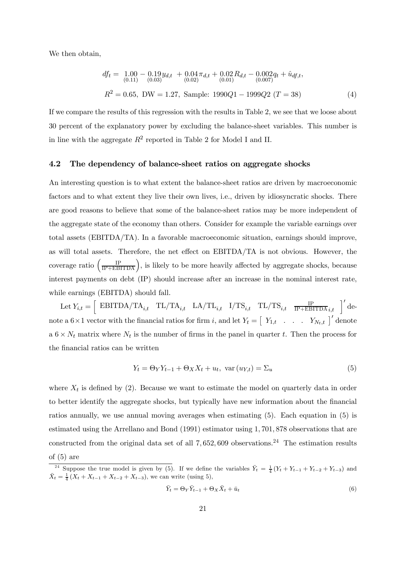We then obtain,

$$
df_t = 1.00 - 0.19y_{d,t} + 0.04\pi_{d,t} + 0.02R_{d,t} - 0.002q_t + \hat{u}_{df,t},
$$
  
\n
$$
R^2 = 0.65, \text{ DW} = 1.27, \text{ Sample: } 1990Q1 - 1999Q2 (T = 38)
$$
\n(4)

If we compare the results of this regression with the results in Table 2, we see that we loose about 30 percent of the explanatory power by excluding the balance-sheet variables. This number is in line with the aggregate  $R^2$  reported in Table 2 for Model I and II.

#### 4.2 The dependency of balance-sheet ratios on aggregate shocks

An interesting question is to what extent the balance-sheet ratios are driven by macroeconomic factors and to what extent they live their own lives, i.e., driven by idiosyncratic shocks. There are good reasons to believe that some of the balance-sheet ratios may be more independent of the aggregate state of the economy than others. Consider for example the variable earnings over total assets (EBITDA/TA). In a favorable macroeconomic situation, earnings should improve, as will total assets. Therefore, the net effect on EBITDA/TA is not obvious. However, the coverage ratio  $\left(\frac{IP}{IP + EBITDA}\right)$ , is likely to be more heavily affected by aggregate shocks, because interest payments on debt (IP) should increase after an increase in the nominal interest rate, while earnings (EBITDA) should fall.

 $\text{Let } Y_{i,t} = \left[ \begin{array}{cc} \text{EBITDA}/\text{TA}_{i,t} & \text{TL}/\text{TA}_{i,t} & \text{LA}/\text{TL}_{i,t} & \text{I}/\text{TS}_{i,t} & \text{TL}/\text{TS}_{i,t} & \frac{\text{IP}}{\text{IP+EBITDA}}_{i,t} \end{array} \right]^T \text{den}$ note a  $6 \times 1$  vector with the financial ratios for firm i, and let  $Y_t = \begin{bmatrix} Y_{1,t} & \dots & Y_{N_t,t} \end{bmatrix}'$  denote a  $6 \times N_t$  matrix where  $N_t$  is the number of firms in the panel in quarter t. Then the process for the financial ratios can be written

$$
Y_t = \Theta_Y Y_{t-1} + \Theta_X X_t + u_t, \text{ var}(u_{Y,t}) = \Sigma_u
$$
\n
$$
(5)
$$

where  $X_t$  is defined by (2). Because we want to estimate the model on quarterly data in order to better identify the aggregate shocks, but typically have new information about the financial ratios annually, we use annual moving averages when estimating (5). Each equation in (5) is estimated using the Arrellano and Bond (1991) estimator using 1, 701, 878 observations that are constructed from the original data set of all  $7,652,609$  observations.<sup>24</sup> The estimation results of (5) are

$$
\bar{Y}_t = \Theta_Y \bar{Y}_{t-1} + \Theta_X \bar{X}_t + \bar{u}_t \tag{6}
$$

<sup>&</sup>lt;sup>24</sup> Suppose the true model is given by (5). If we define the variables  $\bar{Y}_t = \frac{1}{4}(Y_t + Y_{t-1} + Y_{t-2} + Y_{t-3})$  and  $\bar{X}_t = \frac{1}{4} (X_t + X_{t-1} + X_{t-2} + X_{t-3})$ , we can write (using 5),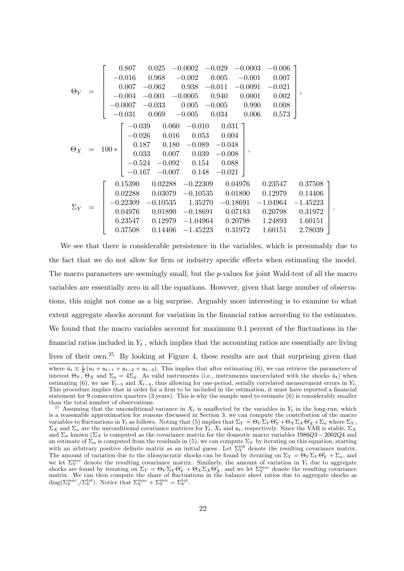|            |           | 0.807<br>$-0.016$<br>0.007                  | 0.025<br>0.968<br>$-0.062$                                                                                                           | $-0.0002$<br>$-0.002$<br>0.938 |                                                                               | $-0.029$<br>0.005<br>$-0.011$                                     | $-0.0003$<br>$-0.001$<br>$-0.0091$ | $-0.006$ T<br>0.007<br>$-0.021$                                   |                                                                       |  |
|------------|-----------|---------------------------------------------|--------------------------------------------------------------------------------------------------------------------------------------|--------------------------------|-------------------------------------------------------------------------------|-------------------------------------------------------------------|------------------------------------|-------------------------------------------------------------------|-----------------------------------------------------------------------|--|
| $\Theta_Y$ |           | $-0.004$<br>$-0.031$                        | $-0.001 - 0.0005$<br>$-0.0007 -0.033$<br>0.069                                                                                       | 0.005<br>$-0.005$              |                                                                               | 0.940<br>$-0.005$ 0.990<br>0.034                                  | 0.0001<br>0.006                    | 0.002<br>0.008<br>0.573                                           | ,                                                                     |  |
| $\Theta_X$ | $= 100 *$ | $-0.026$                                    | $-0.039$ 0.060<br>0.016<br>$0.187$ $0.180$<br>$0.033$ $0.007$ $0.039$<br>$-0.524\quad -0.092\qquad 0.154$<br>$-0.167$ $-0.007$ 0.148 |                                | $-0.010$<br>0.053<br>$-0.089$                                                 | $0.031$ T<br>0.004<br>$-0.048$<br>$-0.008$<br>0.088<br>$-0.021$   | ,                                  |                                                                   |                                                                       |  |
| $\Sigma_Y$ |           | 0.15390<br>0.02288<br>$-0.22309$<br>0.37508 | 0.02288<br>0.03079<br>$-0.10535$<br>0.04976 0.01890<br>$0.23547$ $0.12979$<br>0.14406                                                |                                | $-0.22309$<br>$-0.10535$<br>1.35270<br>$-0.18691$<br>$-1.04964$<br>$-1.45223$ | 0.04976<br>0.01890<br>$-0.18691$<br>0.07183<br>0.20798<br>0.31972 |                                    | 0.23547<br>0.12979<br>$-1.04964$<br>0.20798<br>1.24893<br>1.60151 | $0.37508$ ]<br>0.14406<br>$-1.45223$<br>0.31972<br>1.60151<br>2.78039 |  |

.

We see that there is considerable persistence in the variables, which is presumably due to the fact that we do not allow for firm or industry specific effects when estimating the model. The macro parameters are seemingly small, but the *p*-values for joint Wald-test of all the macro variables are essentially zero in all the equations. However, given that large number of observations, this might not come as a big surprise. Arguably more interesting is to examine to what extent aggregate shocks account for variation in the financial ratios according to the estimates. We found that the macro variables account for maximum 0.1 percent of the fluctuations in the financial ratios included in  $Y_t$ , which implies that the accounting ratios are essentially are living lives of their own.25 By looking at Figure 4, these results are not that surprising given that

where  $\bar{u}_t \equiv \frac{1}{4} (u_t + u_{t-1} + u_{t-2} + u_{t-3})$ . This implies that after estimating (6), we can retrieve the parameters of interest  $\Theta_Y$ ,  $\Theta_X$  and  $\Sigma_u = 4\Sigma_{\bar{u}}$ . As valid instruments (i.e., instruments uncorrelated with the shocks  $\bar{u}_t$ ) when estimating (6), we use  $\bar{Y}_{t-5}$  and  $\bar{X}_{t-4}$ , thus allowing for one-period, serially correlated measurement errors in  $Y_t$ . This procedure implies that in order for a firm to be included in the estimation, it must have reported a financial statement for 9 consecutive quarters (3 years). This is why the sample used to estimate (6) is considerably smaller

than the total number of observations.<br><sup>25</sup> Assuming that the unconditional variance in  $X_t$  is unaffected by the variables in  $Y_t$  in the long-run, which is a reasonable approximation for reasons discussed in Section 3, we can compute the contribution of the macro variables to fluctuations in  $Y_t$  as follows. Noting that (5) implies that  $\Sigma_Y = \Theta_Y \Sigma_Y \Theta'_Y + \Theta_X \Sigma_X \Theta'_X + \Sigma_u$  where  $\Sigma_Y$ ,  $\Sigma_X$  and  $\Sigma_u$  are the unconditional covariance matrices for  $Y_t$ ,  $X_t$  and  $u_t$ , respectively. Since the VAR is stable,  $\Sigma_X$ and  $\Sigma_u$  known ( $\Sigma_X$  is computed as the covariance matrix for the domestic macro variables 1986Q3 – 2002Q4 and an estimate of  $\Sigma_u$  is computed from the residuals in (5), we can compute  $\Sigma_Y$  by iterating on this equation, starting with an arbitrary positive definite matrix as an initial guess. Let  $\Sigma_Y^{tot}$  denote the resulting covariance matrix. The amount of variation due to the idiosyncratic shocks can be found by iterating on  $\Sigma_Y = \Theta_Y \Sigma_Y \Theta'_Y + \Sigma_u$ , and we let  $\Sigma_Y^{mic}$  denote the resulting covariance matrix. Similarly, the amount of variation in  $Y_t$  due to aggregate shocks are found by iterating on  $\Sigma_Y = \Theta_Y \Sigma_Y \Theta'_Y + \Theta_X \Sigma_X \Theta'_X$ , and we let  $\Sigma_Y^{mac}$  denote the resulting covariance matrix. We can then compute the share of fluctuations in the balance sheet ratios due to aggregate shocks as diag( $\Sigma_Y^{mac}. / \Sigma_Y^{tot}$ ). Notice that  $\Sigma_Y^{mac} + \Sigma_Y^{mic} = \Sigma_Y^{tot}$ .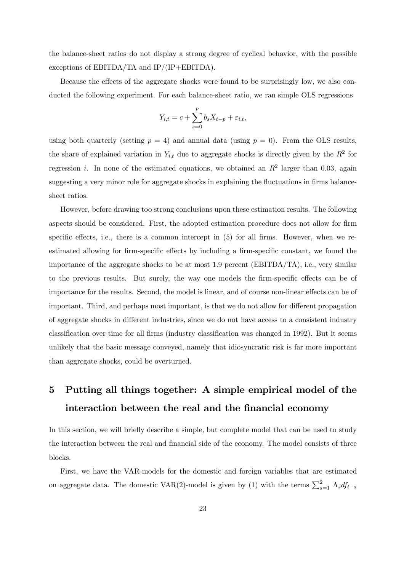the balance-sheet ratios do not display a strong degree of cyclical behavior, with the possible exceptions of EBITDA/TA and IP/(IP+EBITDA).

Because the effects of the aggregate shocks were found to be surprisingly low, we also conducted the following experiment. For each balance-sheet ratio, we ran simple OLS regressions

$$
Y_{i,t} = c + \sum_{s=0}^{p} b_s X_{t-p} + \varepsilon_{i,t},
$$

using both quarterly (setting  $p = 4$ ) and annual data (using  $p = 0$ ). From the OLS results, the share of explained variation in  $Y_{i,t}$  due to aggregate shocks is directly given by the  $R^2$  for regression *i*. In none of the estimated equations, we obtained an  $R^2$  larger than 0.03, again suggesting a very minor role for aggregate shocks in explaining the fluctuations in firms balancesheet ratios.

However, before drawing too strong conclusions upon these estimation results. The following aspects should be considered. First, the adopted estimation procedure does not allow for firm specific effects, i.e., there is a common intercept in  $(5)$  for all firms. However, when we reestimated allowing for firm-specific effects by including a firm-specific constant, we found the importance of the aggregate shocks to be at most 1.9 percent (EBITDA/TA), i.e., very similar to the previous results. But surely, the way one models the firm-specific effects can be of importance for the results. Second, the model is linear, and of course non-linear effects can be of important. Third, and perhaps most important, is that we do not allow for different propagation of aggregate shocks in different industries, since we do not have access to a consistent industry classification over time for all firms (industry classification was changed in 1992). But it seems unlikely that the basic message conveyed, namely that idiosyncratic risk is far more important than aggregate shocks, could be overturned.

# 5 Putting all things together: A simple empirical model of the interaction between the real and the financial economy

In this section, we will briefly describe a simple, but complete model that can be used to study the interaction between the real and financial side of the economy. The model consists of three blocks.

First, we have the VAR-models for the domestic and foreign variables that are estimated on aggregate data. The domestic VAR(2)-model is given by (1) with the terms  $\sum_{s=1}^{2} \Lambda_s df_{t-s}$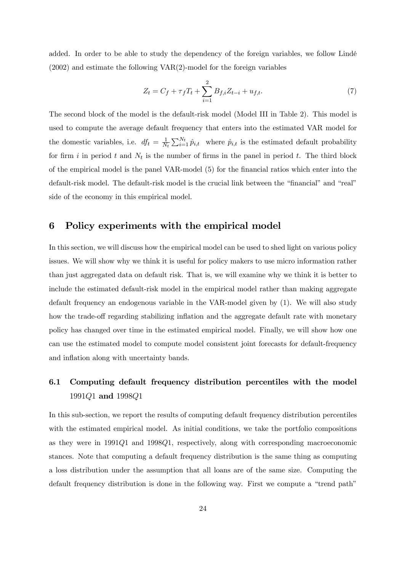added. In order to be able to study the dependency of the foreign variables, we follow Lindé (2002) and estimate the following VAR(2)-model for the foreign variables

$$
Z_t = C_f + \tau_f T_t + \sum_{i=1}^2 B_{f,i} Z_{t-i} + u_{f,t}.
$$
\n(7)

The second block of the model is the default-risk model (Model III in Table 2). This model is used to compute the average default frequency that enters into the estimated VAR model for the domestic variables, i.e.  $df_t = \frac{1}{N_t} \sum_{i=1}^{N_t} \hat{p}_{i,t}$  where  $\hat{p}_{i,t}$  is the estimated default probability for firm i in period t and  $N_t$  is the number of firms in the panel in period t. The third block of the empirical model is the panel VAR-model (5) for the financial ratios which enter into the default-risk model. The default-risk model is the crucial link between the "financial" and "real" side of the economy in this empirical model.

### 6 Policy experiments with the empirical model

In this section, we will discuss how the empirical model can be used to shed light on various policy issues. We will show why we think it is useful for policy makers to use micro information rather than just aggregated data on default risk. That is, we will examine why we think it is better to include the estimated default-risk model in the empirical model rather than making aggregate default frequency an endogenous variable in the VAR-model given by (1). We will also study how the trade-off regarding stabilizing inflation and the aggregate default rate with monetary policy has changed over time in the estimated empirical model. Finally, we will show how one can use the estimated model to compute model consistent joint forecasts for default-frequency and inflation along with uncertainty bands.

## 6.1 Computing default frequency distribution percentiles with the model 1991Q1 and 1998Q1

In this sub-section, we report the results of computing default frequency distribution percentiles with the estimated empirical model. As initial conditions, we take the portfolio compositions as they were in 1991Q1 and 1998Q1, respectively, along with corresponding macroeconomic stances. Note that computing a default frequency distribution is the same thing as computing a loss distribution under the assumption that all loans are of the same size. Computing the default frequency distribution is done in the following way. First we compute a "trend path"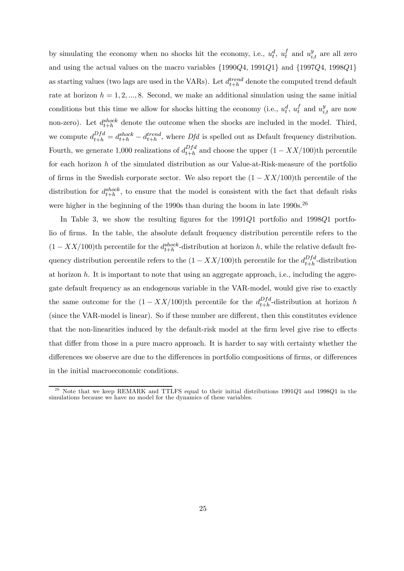by simulating the economy when no shocks hit the economy, i.e.,  $u_t^d$ ,  $u_t^f$  and  $u_{i,t}^y$  are all zero and using the actual values on the macro variables {1990Q4, 1991Q1} and {1997Q4, 1998Q1} as starting values (two lags are used in the VARs). Let  $d_{t+h}^{trend}$  denote the computed trend default rate at horizon  $h = 1, 2, ..., 8$ . Second, we make an additional simulation using the same initial conditions but this time we allow for shocks hitting the economy (i.e.,  $u_t^d$ ,  $u_t^f$  and  $u_{i,t}^y$  are now non-zero). Let  $d_{t+h}^{shock}$  denote the outcome when the shocks are included in the model. Third, we compute  $d_{t+h}^{Dfd} = d_{t+h}^{shock} - d_{t+h}^{trend}$ , where  $Dfd$  is spelled out as Default frequency distribution. Fourth, we generate 1,000 realizations of  $d_{t+h}^{Dfd}$  and choose the upper  $(1 - XX/100)$ th percentile for each horizon h of the simulated distribution as our Value-at-Risk-measure of the portfolio of firms in the Swedish corporate sector. We also report the  $(1 - XX/100)$ th percentile of the distribution for  $d_{t+h}^{shock}$ , to ensure that the model is consistent with the fact that default risks were higher in the beginning of the 1990s than during the boom in late  $1990s$ .<sup>26</sup>

In Table 3, we show the resulting figures for the 1991Q1 portfolio and 1998Q1 portfolio of firms. In the table, the absolute default frequency distribution percentile refers to the  $(1 - XX/100)$ th percentile for the  $d_{t+h}^{shock}$ -distribution at horizon h, while the relative default frequency distribution percentile refers to the  $(1 - XX/100)$ <sup>th</sup> percentile for the  $d_{t+h}^{Dfd}$ -distribution at horizon  $h$ . It is important to note that using an aggregate approach, i.e., including the aggregate default frequency as an endogenous variable in the VAR-model, would give rise to exactly the same outcome for the  $(1 - XX/100)$ <sup>th</sup> percentile for the  $d_{t+h}^{Dfd}$ -distribution at horizon h (since the VAR-model is linear). So if these number are different, then this constitutes evidence that the non-linearities induced by the default-risk model at the firm level give rise to effects that differ from those in a pure macro approach. It is harder to say with certainty whether the differences we observe are due to the differences in portfolio compositions of firms, or differences in the initial macroeconomic conditions.

 $26$  Note that we keep REMARK and TTLFS equal to their initial distributions 1991Q1 and 1998Q1 in the simulations because we have no model for the dynamics of these variables.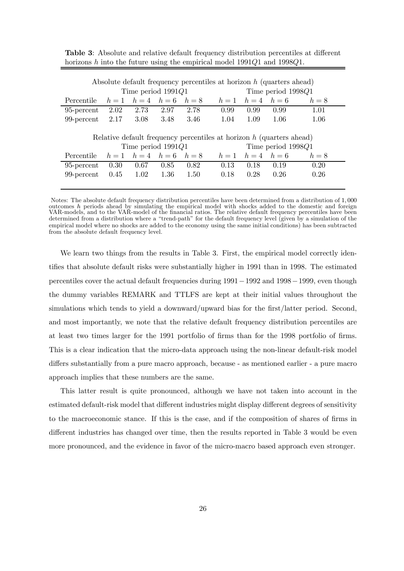| Absolute default frequency percentiles at horizon $h$ (quarters ahead)<br>Time period $1991Q1$ |      |                                 |          |                      |                                                                        |                      |                    |       |  |
|------------------------------------------------------------------------------------------------|------|---------------------------------|----------|----------------------|------------------------------------------------------------------------|----------------------|--------------------|-------|--|
|                                                                                                |      |                                 |          |                      |                                                                        | Time period $1998Q1$ |                    |       |  |
| Percentile                                                                                     |      |                                 |          |                      | $h = 1$ $h = 4$ $h = 6$ $h = 8$ $h = 1$ $h = 4$ $h = 6$                |                      |                    | $h=8$ |  |
| 95-percent                                                                                     | 2.02 | 2.73                            | 2.97     | 2.78                 | 0.99                                                                   | 0.99                 | 0.99               | 1.01  |  |
| 99-percent $2.17$                                                                              |      | 3.08                            | 3.48     | 3.46                 | 1.04                                                                   | 1.09                 | 1.06               | 1.06  |  |
|                                                                                                |      |                                 |          |                      |                                                                        |                      |                    |       |  |
|                                                                                                |      |                                 |          |                      |                                                                        |                      |                    |       |  |
|                                                                                                |      |                                 |          |                      | Relative default frequency percentiles at horizon $h$ (quarters ahead) |                      |                    |       |  |
|                                                                                                |      |                                 |          | Time period $1991Q1$ |                                                                        |                      | Time period 1998Q1 |       |  |
| Percentile                                                                                     |      | $h = 1$ $h = 4$ $h = 6$ $h = 8$ |          |                      | $h = 1$ $h = 4$ $h = 6$                                                |                      |                    | $h=8$ |  |
| 95-percent                                                                                     | 0.30 | 0.67                            | 0.85     | 0.82                 | 0.13                                                                   | 0.18                 | 0.19               | 0.20  |  |
| 99-percent                                                                                     | 0.45 | 1.02                            | $1.36\,$ | 1.50                 | 0.18                                                                   | 0.28                 | 0.26               | 0.26  |  |

Table 3: Absolute and relative default frequency distribution percentiles at different horizons h into the future using the empirical model 1991Q1 and 1998Q1.

Notes: The absolute default frequency distribution percentiles have been determined from a distribution of 1, 000 outcomes h periods ahead by simulating the empirical model with shocks added to the domestic and foreign VAR-models, and to the VAR-model of the financial ratios. The relative default frequency percentiles have been determined from a distribution where a "trend-path" for the default frequency level (given by a simulation of the empirical model where no shocks are added to the economy using the same initial conditions) has been subtracted from the absolute default frequency level.

We learn two things from the results in Table 3. First, the empirical model correctly identifies that absolute default risks were substantially higher in 1991 than in 1998. The estimated percentiles cover the actual default frequencies during 1991−1992 and 1998−1999, even though the dummy variables REMARK and TTLFS are kept at their initial values throughout the simulations which tends to yield a downward/upward bias for the first/latter period. Second, and most importantly, we note that the relative default frequency distribution percentiles are at least two times larger for the 1991 portfolio of firms than for the 1998 portfolio of firms. This is a clear indication that the micro-data approach using the non-linear default-risk model differs substantially from a pure macro approach, because - as mentioned earlier - a pure macro approach implies that these numbers are the same.

This latter result is quite pronounced, although we have not taken into account in the estimated default-risk model that different industries might display different degrees of sensitivity to the macroeconomic stance. If this is the case, and if the composition of shares of firms in different industries has changed over time, then the results reported in Table 3 would be even more pronounced, and the evidence in favor of the micro-macro based approach even stronger.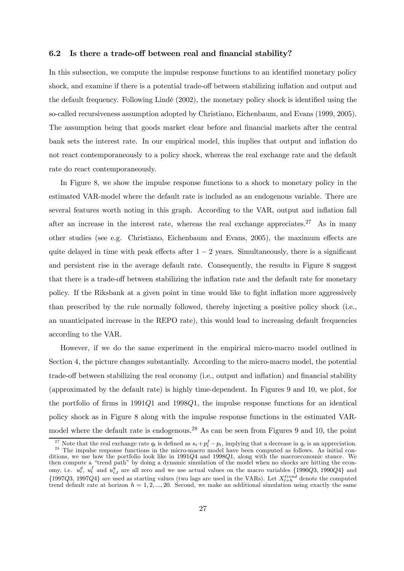#### 6.2 Is there a trade-off between real and financial stability?

In this subsection, we compute the impulse response functions to an identified monetary policy shock, and examine if there is a potential trade-off between stabilizing inflation and output and the default frequency. Following Lindé (2002), the monetary policy shock is identified using the so-called recursiveness assumption adopted by Christiano, Eichenbaum, and Evans (1999, 2005). The assumption being that goods market clear before and financial markets after the central bank sets the interest rate. In our empirical model, this implies that output and inflation do not react contemporaneously to a policy shock, whereas the real exchange rate and the default rate do react contemporaneously.

In Figure 8, we show the impulse response functions to a shock to monetary policy in the estimated VAR-model where the default rate is included as an endogenous variable. There are several features worth noting in this graph. According to the VAR, output and inflation fall after an increase in the interest rate, whereas the real exchange appreciates.<sup>27</sup> As in many other studies (see e.g. Christiano, Eichenbaum and Evans, 2005), the maximum effects are quite delayed in time with peak effects after  $1 - 2$  years. Simultaneously, there is a significant and persistent rise in the average default rate. Consequently, the results in Figure 8 suggest that there is a trade-off between stabilizing the inflation rate and the default rate for monetary policy. If the Riksbank at a given point in time would like to fight inflation more aggressively than prescribed by the rule normally followed, thereby injecting a positive policy shock (i.e., an unanticipated increase in the REPO rate), this would lead to increasing default frequencies according to the VAR.

However, if we do the same experiment in the empirical micro-macro model outlined in Section 4, the picture changes substantially. According to the micro-macro model, the potential trade-off between stabilizing the real economy (i.e., output and inflation) and financial stability (approximated by the default rate) is highly time-dependent. In Figures 9 and 10, we plot, for the portfolio of firms in 1991Q1 and 1998Q1, the impulse response functions for an identical policy shock as in Figure 8 along with the impulse response functions in the estimated VARmodel where the default rate is endogenous.<sup>28</sup> As can be seen from Figures 9 and 10, the point

<sup>&</sup>lt;sup>27</sup> Note that the real exchange rate  $q_t$  is defined as  $s_t + p_t^f - p_t$ , implying that a decrease in  $q_t$  is an appreciation. <sup>28</sup> The impulse response functions in the micro-macro model have been computed as follows. As initial conditions, we use how the portfolio look like in 1991Q4 and 1998Q1, along with the macroeconomic stance. We then compute a "trend path" by doing a dynamic simulation of the model when no shocks are hitting the economy, i.e.  $u_t^d$ ,  $u_t^f$  and  $u_{i,t}^y$  are all zero and we use actual values on the macro variables  $\{1990Q3, 1990Q4\}$  and  ${1997Q3, 1997Q4}$  are used as starting values (two lags are used in the VARs). Let  $X_{t+h}^{trend}$  denote the computed trend default rate at horizon  $h = 1, 2, ..., 20$ . Second, we make an additional simulation using exactly the same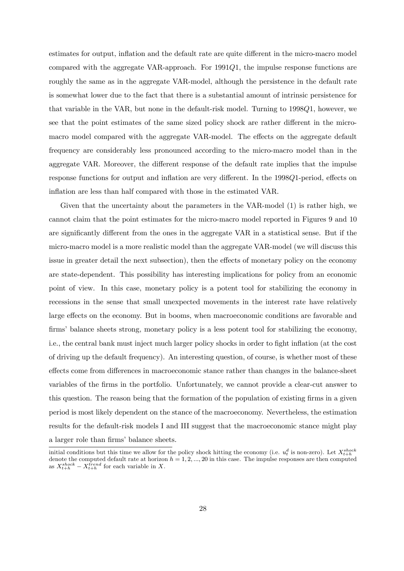estimates for output, inflation and the default rate are quite different in the micro-macro model compared with the aggregate VAR-approach. For 1991Q1, the impulse response functions are roughly the same as in the aggregate VAR-model, although the persistence in the default rate is somewhat lower due to the fact that there is a substantial amount of intrinsic persistence for that variable in the VAR, but none in the default-risk model. Turning to 1998Q1, however, we see that the point estimates of the same sized policy shock are rather different in the micromacro model compared with the aggregate VAR-model. The effects on the aggregate default frequency are considerably less pronounced according to the micro-macro model than in the aggregate VAR. Moreover, the different response of the default rate implies that the impulse response functions for output and inflation are very different. In the 1998Q1-period, effects on inflation are less than half compared with those in the estimated VAR.

Given that the uncertainty about the parameters in the VAR-model (1) is rather high, we cannot claim that the point estimates for the micro-macro model reported in Figures 9 and 10 are significantly different from the ones in the aggregate VAR in a statistical sense. But if the micro-macro model is a more realistic model than the aggregate VAR-model (we will discuss this issue in greater detail the next subsection), then the effects of monetary policy on the economy are state-dependent. This possibility has interesting implications for policy from an economic point of view. In this case, monetary policy is a potent tool for stabilizing the economy in recessions in the sense that small unexpected movements in the interest rate have relatively large effects on the economy. But in booms, when macroeconomic conditions are favorable and firms' balance sheets strong, monetary policy is a less potent tool for stabilizing the economy, i.e., the central bank must inject much larger policy shocks in order to fight inflation (at the cost of driving up the default frequency). An interesting question, of course, is whether most of these effects come from differences in macroeconomic stance rather than changes in the balance-sheet variables of the firms in the portfolio. Unfortunately, we cannot provide a clear-cut answer to this question. The reason being that the formation of the population of existing firms in a given period is most likely dependent on the stance of the macroeconomy. Nevertheless, the estimation results for the default-risk models I and III suggest that the macroeconomic stance might play a larger role than firms' balance sheets.

initial conditions but this time we allow for the policy shock hitting the economy (i.e.  $u_t^d$  is non-zero). Let  $X_{t+h}^{shock}$ <br>denote the computed default rate at horizon  $h = 1, 2, ..., 20$  in this case. The impulse responses as  $X_{t+h}^{shock} - X_{t+h}^{trend}$  for each variable in X.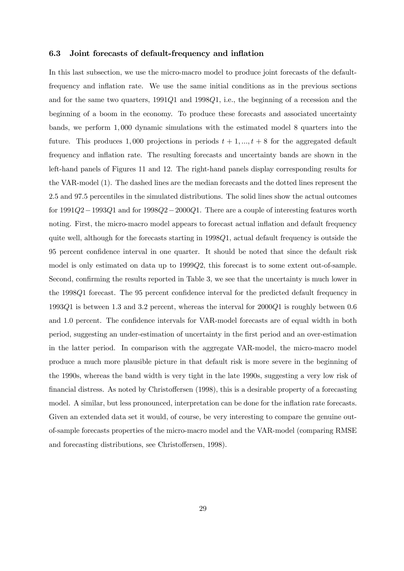#### 6.3 Joint forecasts of default-frequency and inflation

In this last subsection, we use the micro-macro model to produce joint forecasts of the defaultfrequency and inflation rate. We use the same initial conditions as in the previous sections and for the same two quarters, 1991Q1 and 1998Q1, i.e., the beginning of a recession and the beginning of a boom in the economy. To produce these forecasts and associated uncertainty bands, we perform 1, 000 dynamic simulations with the estimated model 8 quarters into the future. This produces 1,000 projections in periods  $t + 1, ..., t + 8$  for the aggregated default frequency and inflation rate. The resulting forecasts and uncertainty bands are shown in the left-hand panels of Figures 11 and 12. The right-hand panels display corresponding results for the VAR-model (1). The dashed lines are the median forecasts and the dotted lines represent the 2.5 and 97.5 percentiles in the simulated distributions. The solid lines show the actual outcomes for 1991Q2−1993Q1 and for 1998Q2−2000Q1. There are a couple of interesting features worth noting. First, the micro-macro model appears to forecast actual inflation and default frequency quite well, although for the forecasts starting in 1998Q1, actual default frequency is outside the 95 percent confidence interval in one quarter. It should be noted that since the default risk model is only estimated on data up to 1999Q2, this forecast is to some extent out-of-sample. Second, confirming the results reported in Table 3, we see that the uncertainty is much lower in the 1998Q1 forecast. The 95 percent confidence interval for the predicted default frequency in 1993Q1 is between 1.3 and 3.2 percent, whereas the interval for 2000Q1 is roughly between 0.6 and 1.0 percent. The confidence intervals for VAR-model forecasts are of equal width in both period, suggesting an under-estimation of uncertainty in the first period and an over-estimation in the latter period. In comparison with the aggregate VAR-model, the micro-macro model produce a much more plausible picture in that default risk is more severe in the beginning of the 1990s, whereas the band width is very tight in the late 1990s, suggesting a very low risk of financial distress. As noted by Christoffersen (1998), this is a desirable property of a forecasting model. A similar, but less pronounced, interpretation can be done for the inflation rate forecasts. Given an extended data set it would, of course, be very interesting to compare the genuine outof-sample forecasts properties of the micro-macro model and the VAR-model (comparing RMSE and forecasting distributions, see Christoffersen, 1998).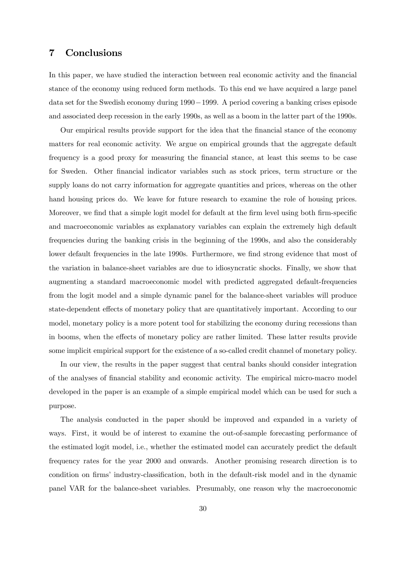## 7 Conclusions

In this paper, we have studied the interaction between real economic activity and the financial stance of the economy using reduced form methods. To this end we have acquired a large panel data set for the Swedish economy during 1990−1999. A period covering a banking crises episode and associated deep recession in the early 1990s, as well as a boom in the latter part of the 1990s.

Our empirical results provide support for the idea that the financial stance of the economy matters for real economic activity. We argue on empirical grounds that the aggregate default frequency is a good proxy for measuring the financial stance, at least this seems to be case for Sweden. Other financial indicator variables such as stock prices, term structure or the supply loans do not carry information for aggregate quantities and prices, whereas on the other hand housing prices do. We leave for future research to examine the role of housing prices. Moreover, we find that a simple logit model for default at the firm level using both firm-specific and macroeconomic variables as explanatory variables can explain the extremely high default frequencies during the banking crisis in the beginning of the 1990s, and also the considerably lower default frequencies in the late 1990s. Furthermore, we find strong evidence that most of the variation in balance-sheet variables are due to idiosyncratic shocks. Finally, we show that augmenting a standard macroeconomic model with predicted aggregated default-frequencies from the logit model and a simple dynamic panel for the balance-sheet variables will produce state-dependent effects of monetary policy that are quantitatively important. According to our model, monetary policy is a more potent tool for stabilizing the economy during recessions than in booms, when the effects of monetary policy are rather limited. These latter results provide some implicit empirical support for the existence of a so-called credit channel of monetary policy.

In our view, the results in the paper suggest that central banks should consider integration of the analyses of financial stability and economic activity. The empirical micro-macro model developed in the paper is an example of a simple empirical model which can be used for such a purpose.

The analysis conducted in the paper should be improved and expanded in a variety of ways. First, it would be of interest to examine the out-of-sample forecasting performance of the estimated logit model, i.e., whether the estimated model can accurately predict the default frequency rates for the year 2000 and onwards. Another promising research direction is to condition on firms' industry-classification, both in the default-risk model and in the dynamic panel VAR for the balance-sheet variables. Presumably, one reason why the macroeconomic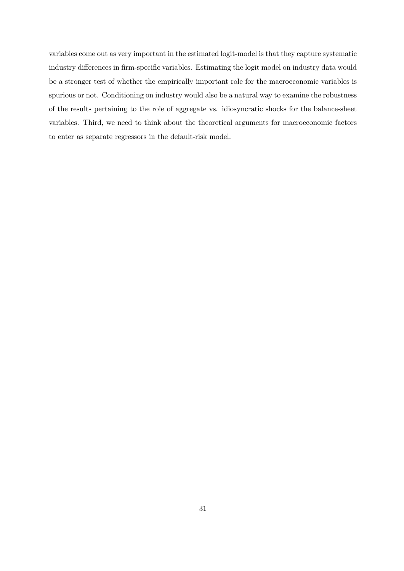variables come out as very important in the estimated logit-model is that they capture systematic industry differences in firm-specific variables. Estimating the logit model on industry data would be a stronger test of whether the empirically important role for the macroeconomic variables is spurious or not. Conditioning on industry would also be a natural way to examine the robustness of the results pertaining to the role of aggregate vs. idiosyncratic shocks for the balance-sheet variables. Third, we need to think about the theoretical arguments for macroeconomic factors to enter as separate regressors in the default-risk model.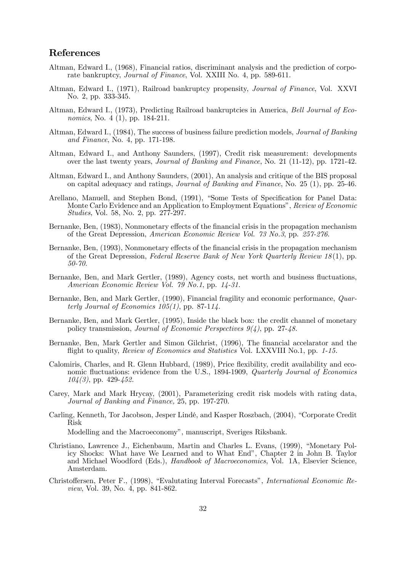## References

- Altman, Edward I., (1968), Financial ratios, discriminant analysis and the prediction of corporate bankruptcy, Journal of Finance, Vol. XXIII No. 4, pp. 589-611.
- Altman, Edward I., (1971), Railroad bankruptcy propensity, Journal of Finance, Vol. XXVI No. 2, pp. 333-345.
- Altman, Edward I., (1973), Predicting Railroad bankruptcies in America, Bell Journal of Economics, No. 4 (1), pp. 184-211.
- Altman, Edward I., (1984), The success of business failure prediction models, Journal of Banking and Finance, No. 4, pp. 171-198.
- Altman, Edward I., and Anthony Saunders, (1997), Credit risk measurement: developments over the last twenty years, Journal of Banking and Finance, No. 21 (11-12), pp. 1721-42.
- Altman, Edward I., and Anthony Saunders, (2001), An analysis and critique of the BIS proposal on capital adequacy and ratings, *Journal of Banking and Finance*, No. 25 (1), pp. 25-46.
- Arellano, Manuell, and Stephen Bond, (1991), "Some Tests of Specification for Panel Data: Monte Carlo Evidence and an Application to Employment Equations", Review of Economic Studies, Vol. 58, No. 2, pp. 277-297.
- Bernanke, Ben, (1983), Nonmonetary effects of the financial crisis in the propagation mechanism of the Great Depression, American Economic Review Vol. 73 No.3, pp. 257-276.
- Bernanke, Ben, (1993), Nonmonetary effects of the financial crisis in the propagation mechanism of the Great Depression, Federal Reserve Bank of New York Quarterly Review  $18(1)$ , pp. 50-70.
- Bernanke, Ben, and Mark Gertler, (1989), Agency costs, net worth and business fluctuations, American Economic Review Vol. 79 No.1, pp. 14-31.
- Bernanke, Ben, and Mark Gertler, (1990), Financial fragility and economic performance, Quarterly Journal of Economics  $105(1)$ , pp. 87-114.
- Bernanke, Ben, and Mark Gertler, (1995), Inside the black box: the credit channel of monetary policy transmission, Journal of Economic Perspectives 9(4), pp. 27-48.
- Bernanke, Ben, Mark Gertler and Simon Gilchrist, (1996), The financial accelarator and the flight to quality, Review of Economics and Statistics Vol. LXXVIII No.1, pp. 1-15.
- Calomiris, Charles, and R. Glenn Hubbard, (1989), Price flexibility, credit availability and economic fluctuations: evidence from the U.S., 1894-1909, Quarterly Journal of Economics  $104(3)$ , pp. 429-452.
- Carey, Mark and Mark Hrycay, (2001), Parameterizing credit risk models with rating data, Journal of Banking and Finance, 25, pp. 197-270.
- Carling, Kenneth, Tor Jacobson, Jesper Lindé, and Kasper Roszbach, (2004), "Corporate Credit Risk

Modelling and the Macroeconomy", manuscript, Sveriges Riksbank.

- Christiano, Lawrence J., Eichenbaum, Martin and Charles L. Evans, (1999), "Monetary Policy Shocks: What have We Learned and to What End", Chapter 2 in John B. Taylor and Michael Woodford (Eds.), Handbook of Macroeconomics, Vol. 1A, Elsevier Science, Amsterdam.
- Christoffersen, Peter F., (1998), "Evalutating Interval Forecasts", International Economic Review, Vol. 39, No. 4, pp. 841-862.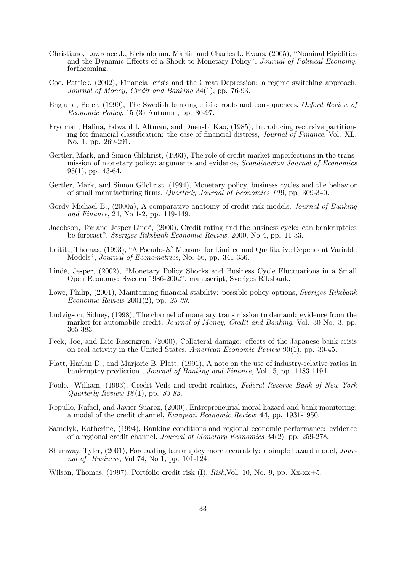- Christiano, Lawrence J., Eichenbaum, Martin and Charles L. Evans, (2005), "Nominal Rigidities and the Dynamic Effects of a Shock to Monetary Policy", Journal of Political Economy, forthcoming.
- Coe, Patrick, (2002), Financial crisis and the Great Depression: a regime switching approach, Journal of Money, Credit and Banking 34(1), pp. 76-93.
- Englund, Peter, (1999), The Swedish banking crisis: roots and consequences, Oxford Review of Economic Policy, 15 (3) Autumn , pp. 80-97.
- Frydman, Halina, Edward I. Altman, and Duen-Li Kao, (1985), Introducing recursive partitioning for financial classification: the case of financial distress, Journal of Finance, Vol. XL, No. 1, pp. 269-291.
- Gertler, Mark, and Simon Gilchrist, (1993), The role of credit market imperfections in the transmission of monetary policy: arguments and evidence, Scandinavian Journal of Economics  $95(1)$ , pp. 43-64.
- Gertler, Mark, and Simon Gilchrist, (1994), Monetary policy, business cycles and the behavior of small manufacturing firms, *Quarterly Journal of Economics 109*, pp. 309-340.
- Gordy Michael B., (2000a), A comparative anatomy of credit risk models, Journal of Banking and Finance, 24, No 1-2, pp. 119-149.
- Jacobson, Tor and Jesper Lindé, (2000), Credit rating and the business cycle: can bankruptcies be forecast?, Sveriges Riksbank Economic Review, 2000, No 4, pp. 11-33.
- Laitila, Thomas, (1993), "A Pseudo- $R^2$  Measure for Limited and Qualitative Dependent Variable Models", Journal of Econometrics, No. 56, pp. 341-356.
- Lindé, Jesper, (2002), "Monetary Policy Shocks and Business Cycle Fluctuations in a Small Open Economy: Sweden 1986-2002", manuscript, Sveriges Riksbank.
- Lowe, Philip, (2001), Maintaining financial stability: possible policy options, Sveriges Riksbank Economic Review 2001(2), pp. 25-33.
- Ludvigson, Sidney, (1998), The channel of monetary transmission to demand: evidence from the market for automobile credit, Journal of Money, Credit and Banking, Vol. 30 No. 3, pp. 365-383.
- Peek, Joe, and Eric Rosengren, (2000), Collateral damage: effects of the Japanese bank crisis on real activity in the United States, American Economic Review 90(1), pp. 30-45.
- Platt, Harlan D., and Marjorie B. Platt, (1991), A note on the use of industry-relative ratios in bankruptcy prediction , Journal of Banking and Finance, Vol 15, pp. 1183-1194.
- Poole. William, (1993), Credit Veils and credit realities, Federal Reserve Bank of New York Quarterly Review 18(1), pp. 83-85.
- Repullo, Rafael, and Javier Suarez, (2000), Entrepreneurial moral hazard and bank monitoring: a model of the credit channel, European Economic Review 44, pp. 1931-1950.
- Samolyk, Katherine, (1994), Banking conditions and regional economic performance: evidence of a regional credit channel, Journal of Monetary Economics 34(2), pp. 259-278.
- Shumway, Tyler, (2001), Forecasting bankruptcy more accurately: a simple hazard model, Journal of Business, Vol 74, No 1, pp. 101-124.
- Wilson, Thomas, (1997), Portfolio credit risk (I), Risk,Vol. 10, No. 9, pp. Xx-xx+5.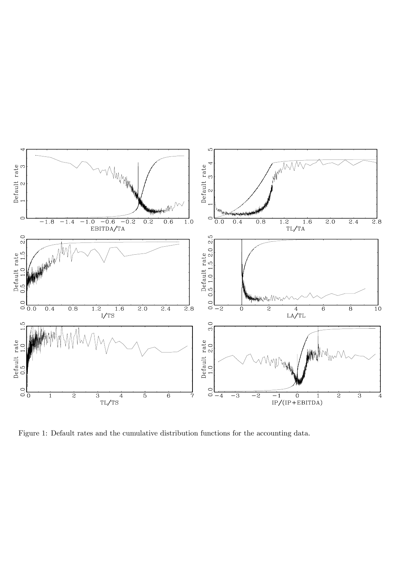

Figure 1: Default rates and the cumulative distribution functions for the accounting data.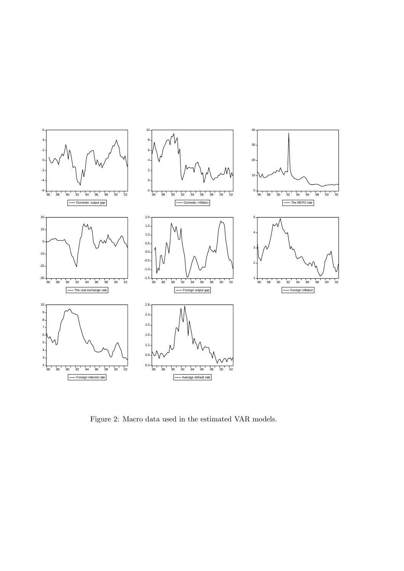

Figure 2: Macro data used in the estimated VAR models.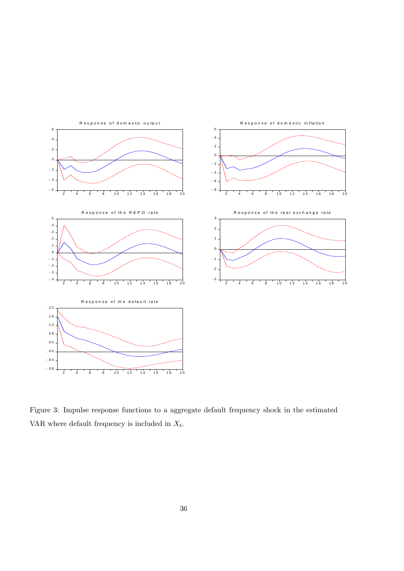

Figure 3: Impulse response functions to a aggregate default frequency shock in the estimated VAR where default frequency is included in  $\mathcal{X}_t.$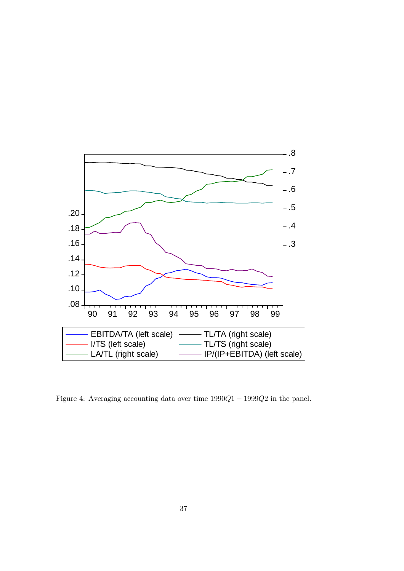

Figure 4: Averaging accounting data over time 1990Q1 − 1999Q2 in the panel.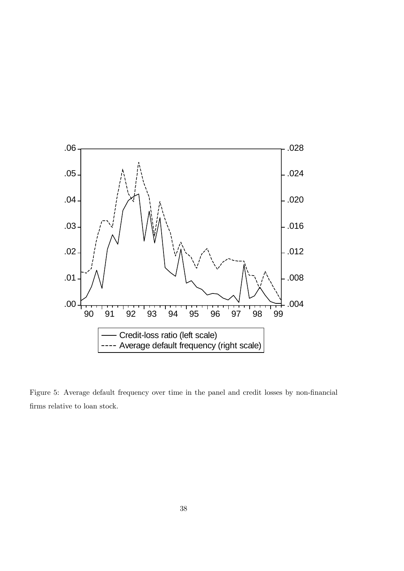

Figure 5: Average default frequency over time in the panel and credit losses by non-financial firms relative to loan stock.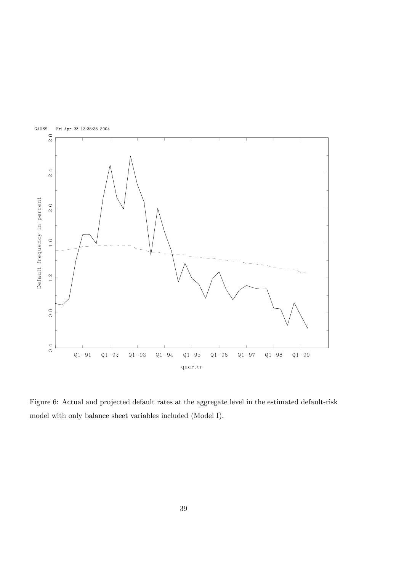

Figure 6: Actual and projected default rates at the aggregate level in the estimated default-risk model with only balance sheet variables included (Model I).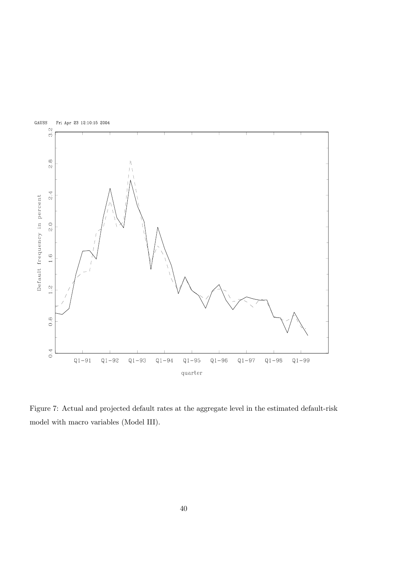

Figure 7: Actual and projected default rates at the aggregate level in the estimated default-risk model with macro variables (Model III).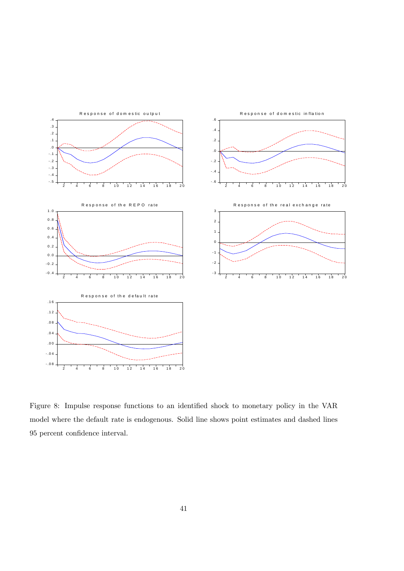

Figure 8: Impulse response functions to an identified shock to monetary policy in the VAR model where the default rate is endogenous. Solid line shows point estimates and dashed lines 95 percent confidence interval.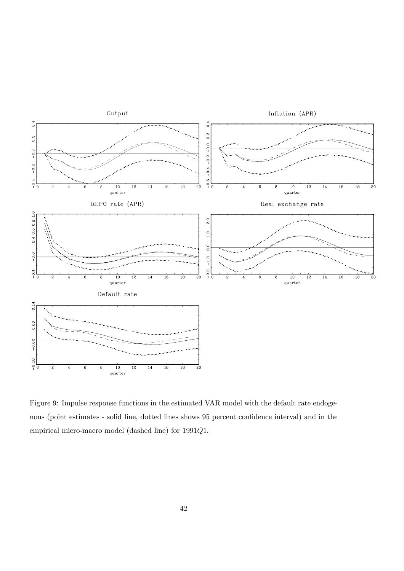

Figure 9: Impulse response functions in the estimated VAR model with the default rate endogenous (point estimates - solid line, dotted lines shows 95 percent confidence interval) and in the empirical micro-macro model (dashed line) for 1991Q1.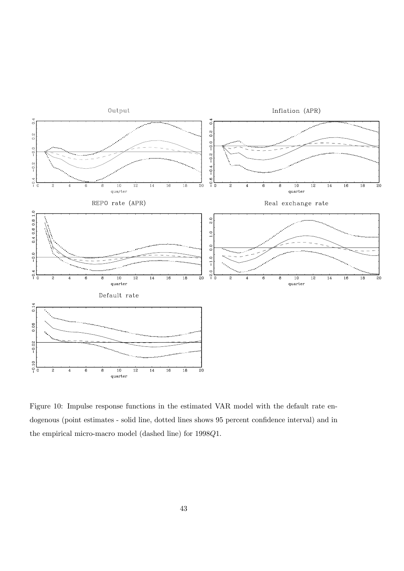

Figure 10: Impulse response functions in the estimated VAR model with the default rate endogenous (point estimates - solid line, dotted lines shows 95 percent confidence interval) and in the empirical micro-macro model (dashed line) for 1998Q1.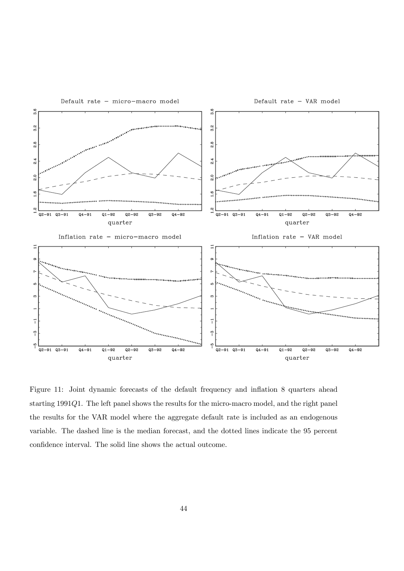

Figure 11: Joint dynamic forecasts of the default frequency and inflation 8 quarters ahead starting 1991Q1. The left panel shows the results for the micro-macro model, and the right panel the results for the VAR model where the aggregate default rate is included as an endogenous variable. The dashed line is the median forecast, and the dotted lines indicate the 95 percent confidence interval. The solid line shows the actual outcome.